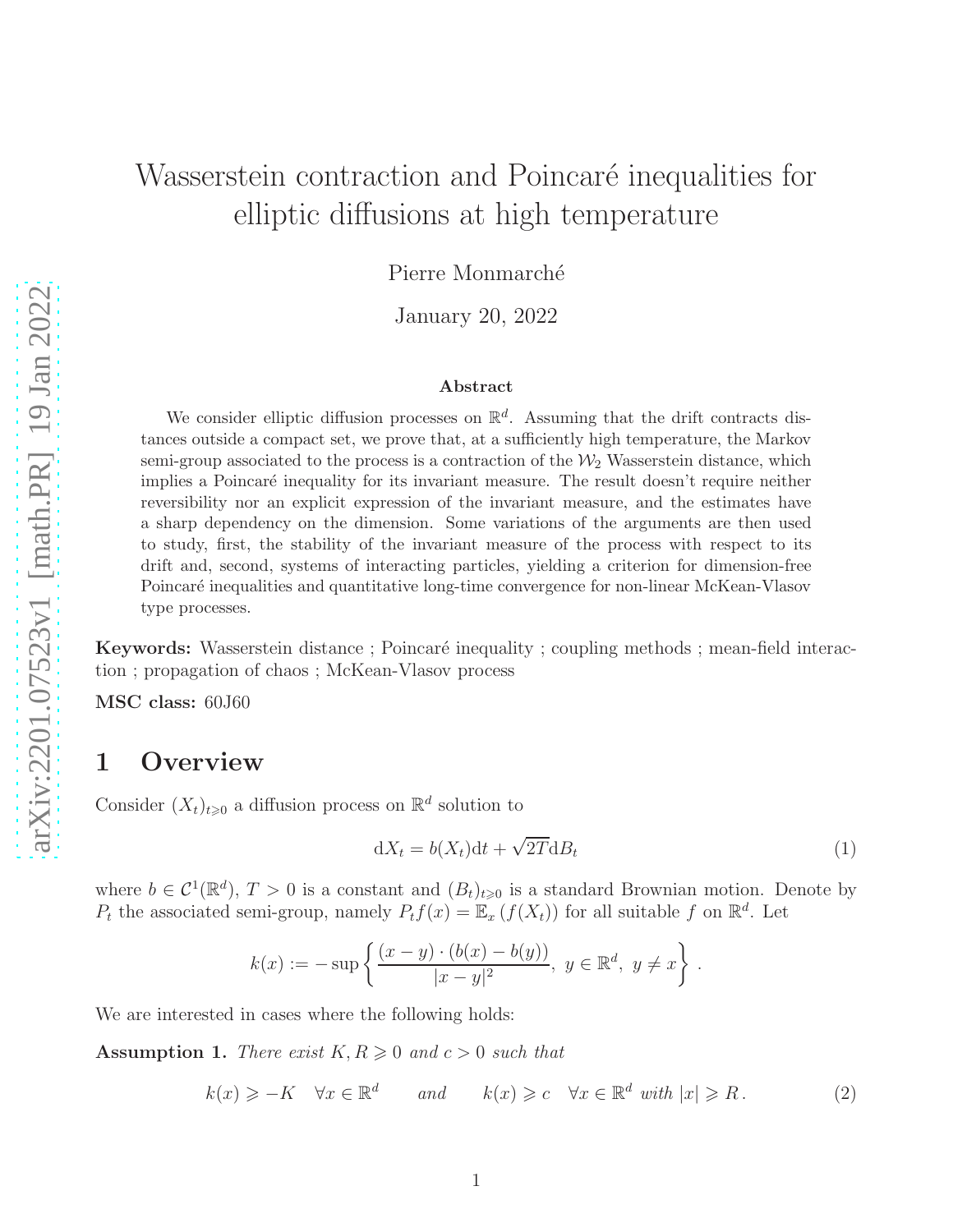# Wasserstein contraction and Poincaré inequalities for elliptic diffusions at high temperature

Pierre Monmarché

January 20, 2022

#### Abstract

We consider elliptic diffusion processes on  $\mathbb{R}^d$ . Assuming that the drift contracts distances outside a compact set, we prove that, at a sufficiently high temperature, the Markov semi-group associated to the process is a contraction of the  $\mathcal{W}_2$  Wasserstein distance, which implies a Poincaré inequality for its invariant measure. The result doesn't require neither reversibility nor an explicit expression of the invariant measure, and the estimates have a sharp dependency on the dimension. Some variations of the arguments are then used to study, first, the stability of the invariant measure of the process with respect to its drift and, second, systems of interacting particles, yielding a criterion for dimension-free Poincaré inequalities and quantitative long-time convergence for non-linear McKean-Vlasov type processes.

**Keywords:** Wasserstein distance ; Poincaré inequality ; coupling methods ; mean-field interaction ; propagation of chaos ; McKean-Vlasov process

MSC class: 60J60

# 1 Overview

Consider  $(X_t)_{t\geq 0}$  a diffusion process on  $\mathbb{R}^d$  solution to

<span id="page-0-1"></span>
$$
dX_t = b(X_t)dt + \sqrt{2T}dB_t
$$
\n(1)

where  $b \in C^1(\mathbb{R}^d)$ ,  $T > 0$  is a constant and  $(B_t)_{t \geq 0}$  is a standard Brownian motion. Denote by  $P_t$  the associated semi-group, namely  $P_t f(x) = \mathbb{E}_x (f(X_t))$  for all suitable f on  $\mathbb{R}^d$ . Let

$$
k(x) := -\sup \left\{ \frac{(x-y) \cdot (b(x) - b(y))}{|x-y|^2}, \ y \in \mathbb{R}^d, \ y \neq x \right\}.
$$

We are interested in cases where the following holds:

<span id="page-0-0"></span>**Assumption 1.** There exist  $K, R \geq 0$  and  $c > 0$  such that

<span id="page-0-2"></span>
$$
k(x) \geqslant -K \quad \forall x \in \mathbb{R}^d \qquad \text{and} \qquad k(x) \geqslant c \quad \forall x \in \mathbb{R}^d \text{ with } |x| \geqslant R. \tag{2}
$$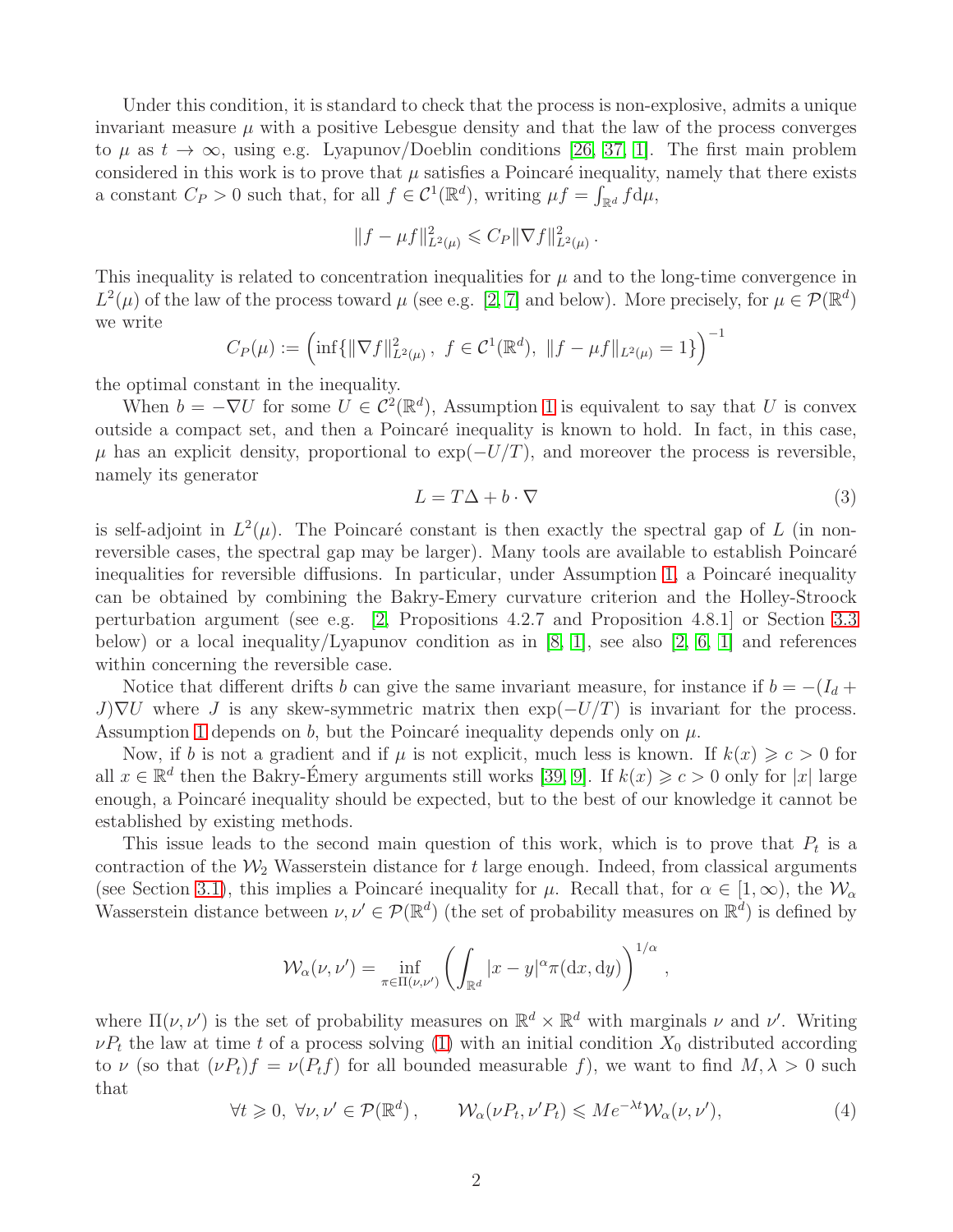Under this condition, it is standard to check that the process is non-explosive, admits a unique invariant measure  $\mu$  with a positive Lebesgue density and that the law of the process converges to  $\mu$  as  $t \to \infty$ , using e.g. Lyapunov/Doeblin conditions [\[26,](#page-24-0) [37,](#page-24-1) [1\]](#page-22-0). The first main problem considered in this work is to prove that  $\mu$  satisfies a Poincaré inequality, namely that there exists a constant  $C_P > 0$  such that, for all  $f \in C^1(\mathbb{R}^d)$ , writing  $\mu f = \int_{\mathbb{R}^d} f d\mu$ ,

$$
||f - \mu f||_{L^2(\mu)}^2 \leqslant C_P ||\nabla f||_{L^2(\mu)}^2.
$$

This inequality is related to concentration inequalities for  $\mu$  and to the long-time convergence in  $L^2(\mu)$  of the law of the process toward  $\mu$  (see e.g. [\[2,](#page-22-1) [7\]](#page-22-2) and below). More precisely, for  $\mu \in \mathcal{P}(\mathbb{R}^d)$ we write <sup>−</sup><sup>1</sup>

$$
C_P(\mu) := \left(\inf\{\|\nabla f\|_{L^2(\mu)}^2, f \in C^1(\mathbb{R}^d), \|f - \mu f\|_{L^2(\mu)} = 1\}\right)^{-1}
$$

the optimal constant in the inequality.

When  $b = -\nabla U$  for some  $U \in C^2(\mathbb{R}^d)$ , Assumption [1](#page-0-0) is equivalent to say that U is convex outside a compact set, and then a Poincaré inequality is known to hold. In fact, in this case,  $\mu$  has an explicit density, proportional to exp( $-U/T$ ), and moreover the process is reversible, namely its generator

<span id="page-1-1"></span>
$$
L = T\Delta + b \cdot \nabla \tag{3}
$$

,

is self-adjoint in  $L^2(\mu)$ . The Poincaré constant is then exactly the spectral gap of L (in nonreversible cases, the spectral gap may be larger). Many tools are available to establish Poincaré inequalities for reversible diffusions. In particular, under Assumption [1,](#page-0-0) a Poincaré inequality can be obtained by combining the Bakry-Emery curvature criterion and the Holley-Stroock perturbation argument (see e.g. [\[2,](#page-22-1) Propositions 4.2.7 and Proposition 4.8.1] or Section [3.3](#page-11-0) below) or a local inequality/Lyapunov condition as in [\[8,](#page-22-3) [1\]](#page-22-0), see also [\[2,](#page-22-1) [6,](#page-22-4) 1] and references within concerning the reversible case.

Notice that different drifts b can give the same invariant measure, for instance if  $b = -(I_d +$  $J\nabla U$  where J is any skew-symmetric matrix then  $\exp(-U/T)$  is invariant for the process. Assumption [1](#page-0-0) depends on b, but the Poincaré inequality depends only on  $\mu$ .

Now, if b is not a gradient and if  $\mu$  is not explicit, much less is known. If  $k(x) \geq c > 0$  for all  $x \in \mathbb{R}^d$  then the Bakry-Emery arguments still works [\[39,](#page-24-2) [9\]](#page-22-5). If  $k(x) \geq c > 0$  only for |x| large enough, a Poincaré inequality should be expected, but to the best of our knowledge it cannot be established by existing methods.

This issue leads to the second main question of this work, which is to prove that  $P_t$  is a contraction of the  $\mathcal{W}_2$  Wasserstein distance for t large enough. Indeed, from classical arguments (see Section [3.1\)](#page-9-0), this implies a Poincaré inequality for  $\mu$ . Recall that, for  $\alpha \in [1,\infty)$ , the  $\mathcal{W}_{\alpha}$ Wasserstein distance between  $\nu, \nu' \in \mathcal{P}(\mathbb{R}^d)$  (the set of probability measures on  $\mathbb{R}^d$ ) is defined by

$$
\mathcal{W}_{\alpha}(\nu,\nu') = \inf_{\pi \in \Pi(\nu,\nu')} \left( \int_{\mathbb{R}^d} |x - y|^{\alpha} \pi(\mathrm{d}x,\mathrm{d}y) \right)^{1/\alpha}
$$

where  $\Pi(\nu, \nu')$  is the set of probability measures on  $\mathbb{R}^d \times \mathbb{R}^d$  with marginals  $\nu$  and  $\nu'$ . Writing  $\nu P_t$  the law at time t of a process solving [\(1\)](#page-0-1) with an initial condition  $X_0$  distributed according to  $\nu$  (so that  $(\nu P_t)f = \nu(P_t f)$  for all bounded measurable f), we want to find  $M, \lambda > 0$  such that

<span id="page-1-0"></span>
$$
\forall t \geq 0, \ \forall \nu, \nu' \in \mathcal{P}(\mathbb{R}^d), \qquad \mathcal{W}_\alpha(\nu P_t, \nu' P_t) \leqslant M e^{-\lambda t} \mathcal{W}_\alpha(\nu, \nu'), \tag{4}
$$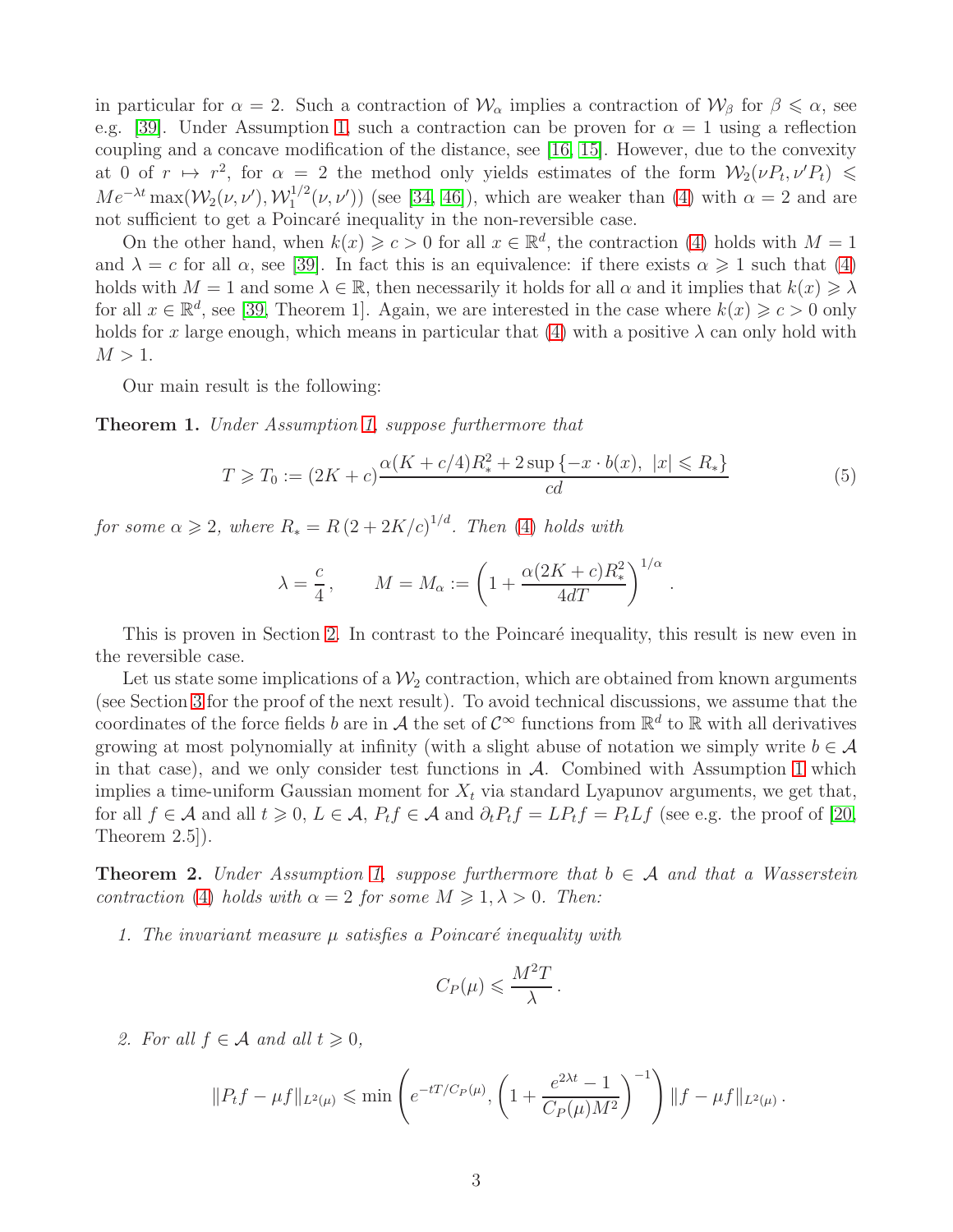in particular for  $\alpha = 2$ . Such a contraction of  $\mathcal{W}_{\alpha}$  implies a contraction of  $\mathcal{W}_{\beta}$  for  $\beta \leq \alpha$ , see e.g. [\[39\]](#page-24-2). Under Assumption [1,](#page-0-0) such a contraction can be proven for  $\alpha = 1$  using a reflection coupling and a concave modification of the distance, see [\[16,](#page-23-0) [15\]](#page-23-1). However, due to the convexity at 0 of  $r \mapsto r^2$ , for  $\alpha = 2$  the method only yields estimates of the form  $\mathcal{W}_2(\nu P_t, \nu' P_t) \leq$  $Me^{-\lambda t} \max(W_2(\nu, \nu'), \mathcal{W}^{1/2}_1)$  $\int_1^{1/2} (\nu, \nu')$  (see [\[34,](#page-24-3) [46\]](#page-25-0)), which are weaker than [\(4\)](#page-1-0) with  $\alpha = 2$  and are not sufficient to get a Poincaré inequality in the non-reversible case.

On the other hand, when  $k(x) \geqslant c > 0$  for all  $x \in \mathbb{R}^d$ , the contraction [\(4\)](#page-1-0) holds with  $M = 1$ and  $\lambda = c$  for all  $\alpha$ , see [\[39\]](#page-24-2). In fact this is an equivalence: if there exists  $\alpha \geq 1$  such that [\(4\)](#page-1-0) holds with  $M = 1$  and some  $\lambda \in \mathbb{R}$ , then necessarily it holds for all  $\alpha$  and it implies that  $k(x) \geq \lambda$ for all  $x \in \mathbb{R}^d$ , see [\[39,](#page-24-2) Theorem 1]. Again, we are interested in the case where  $k(x) \geq c > 0$  only holds for x large enough, which means in particular that [\(4\)](#page-1-0) with a positive  $\lambda$  can only hold with  $M > 1$ .

Our main result is the following:

<span id="page-2-1"></span>Theorem 1. Under Assumption [1,](#page-0-0) suppose furthermore that

<span id="page-2-0"></span>
$$
T \ge T_0 := (2K + c)\frac{\alpha(K + c/4)R_*^2 + 2\sup\{-x \cdot b(x), \ |x| \le R_*\}}{cd}
$$
(5)

for some  $\alpha \geqslant 2$ , where  $R_* = R (2 + 2K/c)^{1/d}$ . Then [\(4\)](#page-1-0) holds with

$$
\lambda = \frac{c}{4}, \qquad M = M_{\alpha} := \left(1 + \frac{\alpha (2K + c)R_*^2}{4dT}\right)^{1/\alpha}.
$$

This is proven in Section [2.](#page-4-0) In contrast to the Poincaré inequality, this result is new even in the reversible case.

Let us state some implications of a  $\mathcal{W}_2$  contraction, which are obtained from known arguments (see Section [3](#page-9-1) for the proof of the next result). To avoid technical discussions, we assume that the coordinates of the force fields b are in A the set of  $\mathcal{C}^{\infty}$  functions from  $\mathbb{R}^{d}$  to  $\mathbb{R}$  with all derivatives growing at most polynomially at infinity (with a slight abuse of notation we simply write  $b \in \mathcal{A}$ in that case), and we only consider test functions in  $A$ . Combined with Assumption [1](#page-0-0) which implies a time-uniform Gaussian moment for  $X_t$  via standard Lyapunov arguments, we get that, for all  $f \in \mathcal{A}$  and all  $t \geq 0$ ,  $L \in \mathcal{A}$ ,  $P_t f \in \mathcal{A}$  and  $\partial_t P_t f = L P_t f = P_t L f$  (see e.g. the proof of [\[20,](#page-23-2) Theorem 2.5]).

<span id="page-2-2"></span>**Theorem 2.** Under Assumption [1,](#page-0-0) suppose furthermore that  $b \in A$  and that a Wasserstein contraction [\(4\)](#page-1-0) holds with  $\alpha = 2$  for some  $M \geq 1, \lambda > 0$ . Then:

1. The invariant measure  $\mu$  satisfies a Poincaré inequality with

$$
C_P(\mu) \leqslant \frac{M^2T}{\lambda}.
$$

2. For all  $f \in \mathcal{A}$  and all  $t \geqslant 0$ ,

$$
||P_t f - \mu f||_{L^2(\mu)} \le \min \left(e^{-tT/C_P(\mu)}, \left(1 + \frac{e^{2\lambda t} - 1}{C_P(\mu)M^2}\right)^{-1}\right) ||f - \mu f||_{L^2(\mu)}.
$$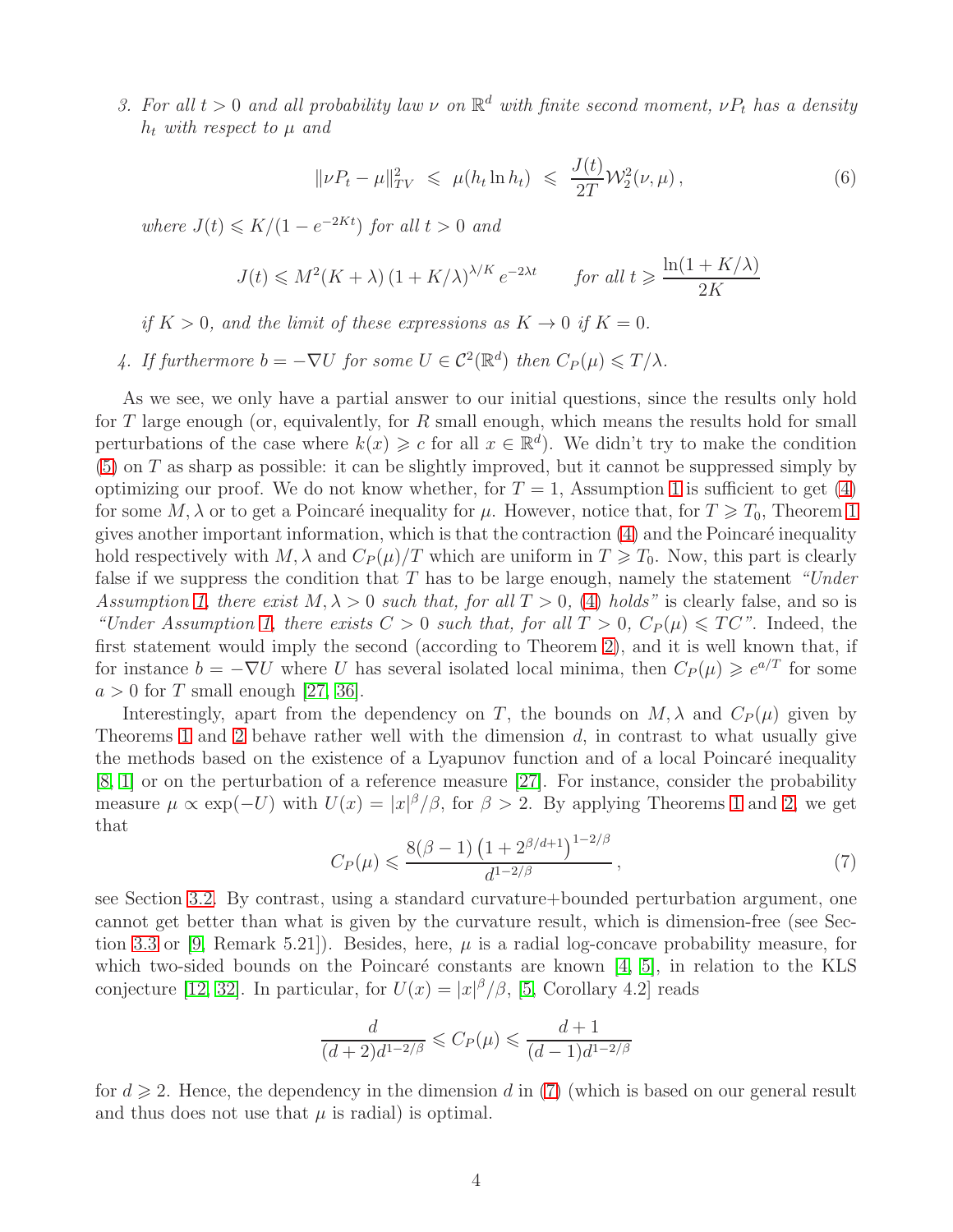3. For all  $t > 0$  and all probability law  $\nu$  on  $\mathbb{R}^d$  with finite second moment,  $\nu P_t$  has a density  $h_t$  with respect to  $\mu$  and

<span id="page-3-1"></span>
$$
\|\nu P_t - \mu\|_{TV}^2 \leqslant \mu(h_t \ln h_t) \leqslant \frac{J(t)}{2T} \mathcal{W}_2^2(\nu, \mu), \tag{6}
$$

where  $J(t) \leq K/(1 - e^{-2Kt})$  for all  $t > 0$  and

$$
J(t) \le M^2(K + \lambda) \left(1 + K/\lambda\right)^{\lambda/K} e^{-2\lambda t} \qquad \text{for all } t \ge \frac{\ln(1 + K/\lambda)}{2K}
$$

if  $K > 0$ , and the limit of these expressions as  $K \to 0$  if  $K = 0$ .

4. If furthermore  $b = -\nabla U$  for some  $U \in C^2(\mathbb{R}^d)$  then  $C_P(\mu) \leq T/\lambda$ .

As we see, we only have a partial answer to our initial questions, since the results only hold for  $T$  large enough (or, equivalently, for  $R$  small enough, which means the results hold for small perturbations of the case where  $k(x) \geq c$  for all  $x \in \mathbb{R}^d$ . We didn't try to make the condition  $(5)$  on T as sharp as possible: it can be slightly improved, but it cannot be suppressed simply by optimizing our proof. We do not know whether, for  $T = 1$  $T = 1$ , Assumption 1 is sufficient to get [\(4\)](#page-1-0) for some M,  $\lambda$  or to get a Poincaré inequality for  $\mu$ . However, notice that, for  $T \geq T_0$ , Theorem [1](#page-2-1) gives another important information, which is that the contraction  $(4)$  and the Poincaré inequality hold respectively with M,  $\lambda$  and  $C_P(\mu)/T$  which are uniform in  $T \ge T_0$ . Now, this part is clearly false if we suppress the condition that T has to be large enough, namely the statement "Under Assumption [1,](#page-0-0) there exist  $M, \lambda > 0$  such that, for all  $T > 0$ , [\(4\)](#page-1-0) holds" is clearly false, and so is "Under Assumption [1,](#page-0-0) there exists  $C > 0$  such that, for all  $T > 0$ ,  $C_P(\mu) \leq T C$ ". Indeed, the first statement would imply the second (according to Theorem [2\)](#page-2-2), and it is well known that, if for instance  $b = -\nabla U$  where U has several isolated local minima, then  $C_P(\mu) \geqslant e^{a/T}$  for some  $a > 0$  for T small enough [\[27,](#page-24-4) [36\]](#page-24-5).

Interestingly, apart from the dependency on T, the bounds on  $M$ ,  $\lambda$  and  $C_P(\mu)$  given by Theorems [1](#page-2-1) and [2](#page-2-2) behave rather well with the dimension  $d$ , in contrast to what usually give the methods based on the existence of a Lyapunov function and of a local Poincaré inequality [\[8,](#page-22-3) [1\]](#page-22-0) or on the perturbation of a reference measure [\[27\]](#page-24-4). For instance, consider the probability measure  $\mu \propto \exp(-U)$  with  $U(x) = |x|^{\beta}/\beta$ , for  $\beta > 2$ . By applying Theorems [1](#page-2-1) and [2,](#page-2-2) we get that

<span id="page-3-0"></span>
$$
C_P(\mu) \leqslant \frac{8(\beta - 1) \left(1 + 2^{\beta/d + 1}\right)^{1 - 2/\beta}}{d^{1 - 2/\beta}},\tag{7}
$$

see Section [3.2.](#page-10-0) By contrast, using a standard curvature+bounded perturbation argument, one cannot get better than what is given by the curvature result, which is dimension-free (see Sec-tion [3.3](#page-11-0) or [\[9,](#page-22-5) Remark 5.21]). Besides, here,  $\mu$  is a radial log-concave probability measure, for which two-sided bounds on the Poincaré constants are known  $[4, 5]$  $[4, 5]$ , in relation to the KLS conjecture [\[12,](#page-23-3) [32\]](#page-24-6). In particular, for  $U(x) = |x|^{\beta}/\beta$ , [\[5,](#page-22-7) Corollary 4.2] reads

$$
\frac{d}{(d+2)d^{1-2/\beta}} \leqslant C_P(\mu) \leqslant \frac{d+1}{(d-1)d^{1-2/\beta}}
$$

for  $d \geq 2$ . Hence, the dependency in the dimension d in [\(7\)](#page-3-0) (which is based on our general result and thus does not use that  $\mu$  is radial) is optimal.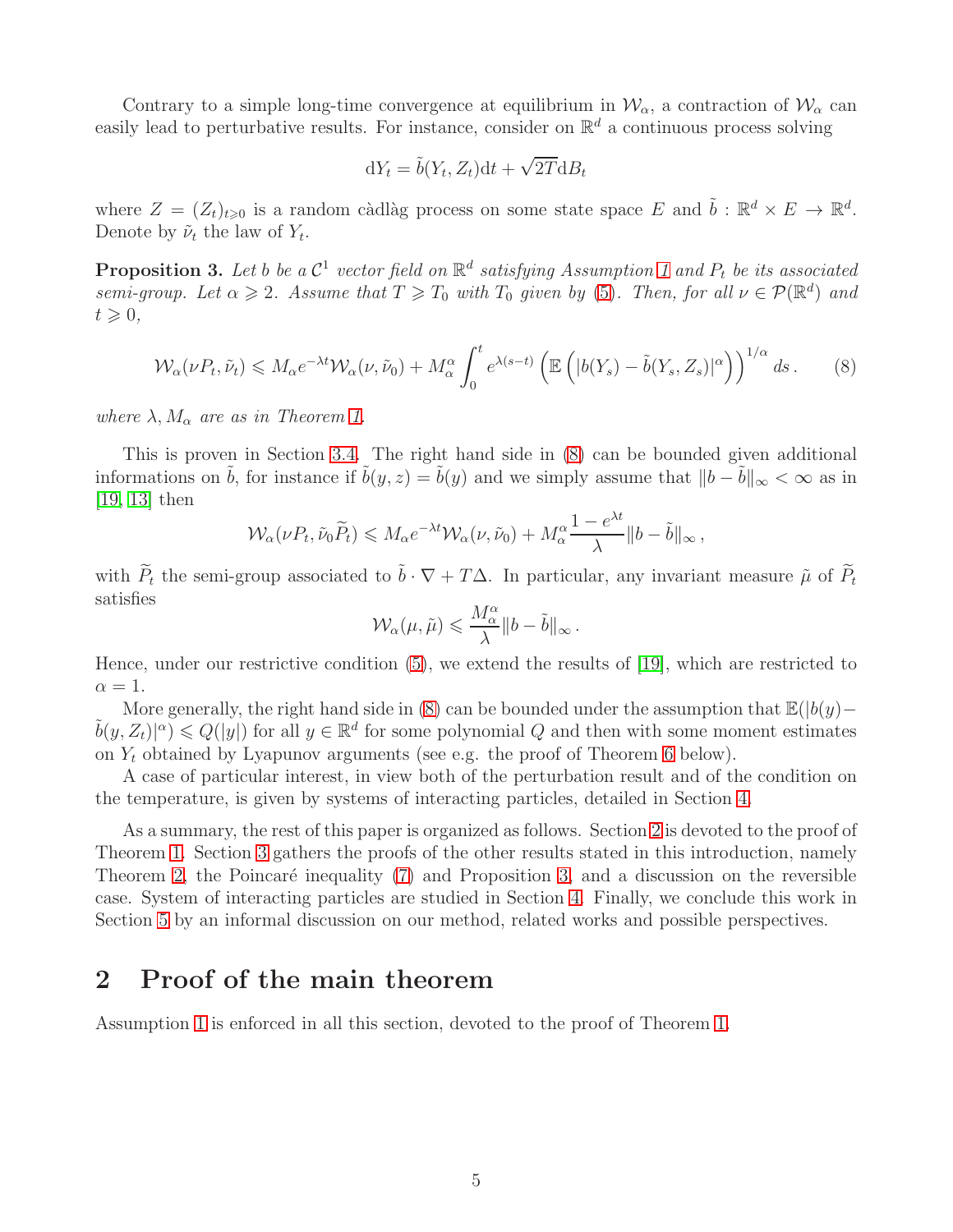Contrary to a simple long-time convergence at equilibrium in  $\mathcal{W}_{\alpha}$ , a contraction of  $\mathcal{W}_{\alpha}$  can easily lead to perturbative results. For instance, consider on  $\mathbb{R}^d$  a continuous process solving

$$
dY_t = \tilde{b}(Y_t, Z_t)dt + \sqrt{2T}dB_t
$$

where  $Z = (Z_t)_{t \geqslant 0}$  is a random càdlàg process on some state space E and  $\tilde{b} : \mathbb{R}^d \times E \to \mathbb{R}^d$ . Denote by  $\tilde{\nu}_t$  the law of  $Y_t$ .

<span id="page-4-2"></span>**Proposition 3.** Let b be a  $\mathcal{C}^1$  vector field on  $\mathbb{R}^d$  satisfying Assumption [1](#page-0-0) and  $P_t$  be its associated semi-group. Let  $\alpha \geqslant 2$ . Assume that  $T \geqslant T_0$  with  $T_0$  given by [\(5\)](#page-2-0). Then, for all  $\nu \in \mathcal{P}(\mathbb{R}^d)$  and  $t \geqslant 0$ ,

<span id="page-4-1"></span>
$$
\mathcal{W}_{\alpha}(\nu P_t, \tilde{\nu}_t) \leqslant M_{\alpha} e^{-\lambda t} \mathcal{W}_{\alpha}(\nu, \tilde{\nu}_0) + M_{\alpha}^{\alpha} \int_0^t e^{\lambda(s-t)} \left( \mathbb{E}\left( |b(Y_s) - \tilde{b}(Y_s, Z_s)|^{\alpha} \right) \right)^{1/\alpha} ds \,. \tag{8}
$$

where  $\lambda$ ,  $M_{\alpha}$  are as in Theorem [1.](#page-2-1)

This is proven in Section [3.4.](#page-12-0) The right hand side in [\(8\)](#page-4-1) can be bounded given additional informations on  $\tilde{b}$ , for instance if  $\tilde{b}(y, z) = \tilde{b}(y)$  and we simply assume that  $||b - \tilde{b}||_{\infty} < \infty$  as in [\[19,](#page-23-4) [13\]](#page-23-5) then

$$
\mathcal{W}_{\alpha}(\nu P_t, \tilde{\nu}_0 \widetilde{P}_t) \leqslant M_{\alpha} e^{-\lambda t} \mathcal{W}_{\alpha}(\nu, \tilde{\nu}_0) + M_{\alpha}^{\alpha} \frac{1 - e^{\lambda t}}{\lambda} \|b - \tilde{b}\|_{\infty},
$$

with  $\widetilde{P}_t$  the semi-group associated to  $\widetilde{b} \cdot \nabla + T \Delta$ . In particular, any invariant measure  $\widetilde{\mu}$  of  $\widetilde{P}_t$ satisfies

$$
\mathcal{W}_{\alpha}(\mu, \tilde{\mu}) \leqslant \frac{M_{\alpha}^{\alpha}}{\lambda} \|b - \tilde{b}\|_{\infty}.
$$

Hence, under our restrictive condition [\(5\)](#page-2-0), we extend the results of [\[19\]](#page-23-4), which are restricted to  $\alpha = 1$ .

More generally, the right hand side in [\(8\)](#page-4-1) can be bounded under the assumption that  $\mathbb{E}(|b(y) \tilde{b}(y, Z_t)|^{\alpha}$   $\leq Q(|y|)$  for all  $y \in \mathbb{R}^d$  for some polynomial Q and then with some moment estimates on  $Y_t$  obtained by Lyapunov arguments (see e.g. the proof of Theorem [6](#page-15-0) below).

A case of particular interest, in view both of the perturbation result and of the condition on the temperature, is given by systems of interacting particles, detailed in Section [4.](#page-12-1)

As a summary, the rest of this paper is organized as follows. Section [2](#page-4-0) is devoted to the proof of Theorem [1.](#page-2-1) Section [3](#page-9-1) gathers the proofs of the other results stated in this introduction, namely Theorem [2,](#page-2-2) the Poincaré inequality  $(7)$  and Proposition [3,](#page-4-2) and a discussion on the reversible case. System of interacting particles are studied in Section [4.](#page-12-1) Finally, we conclude this work in Section [5](#page-19-0) by an informal discussion on our method, related works and possible perspectives.

# <span id="page-4-0"></span>2 Proof of the main theorem

Assumption [1](#page-0-0) is enforced in all this section, devoted to the proof of Theorem [1.](#page-2-1)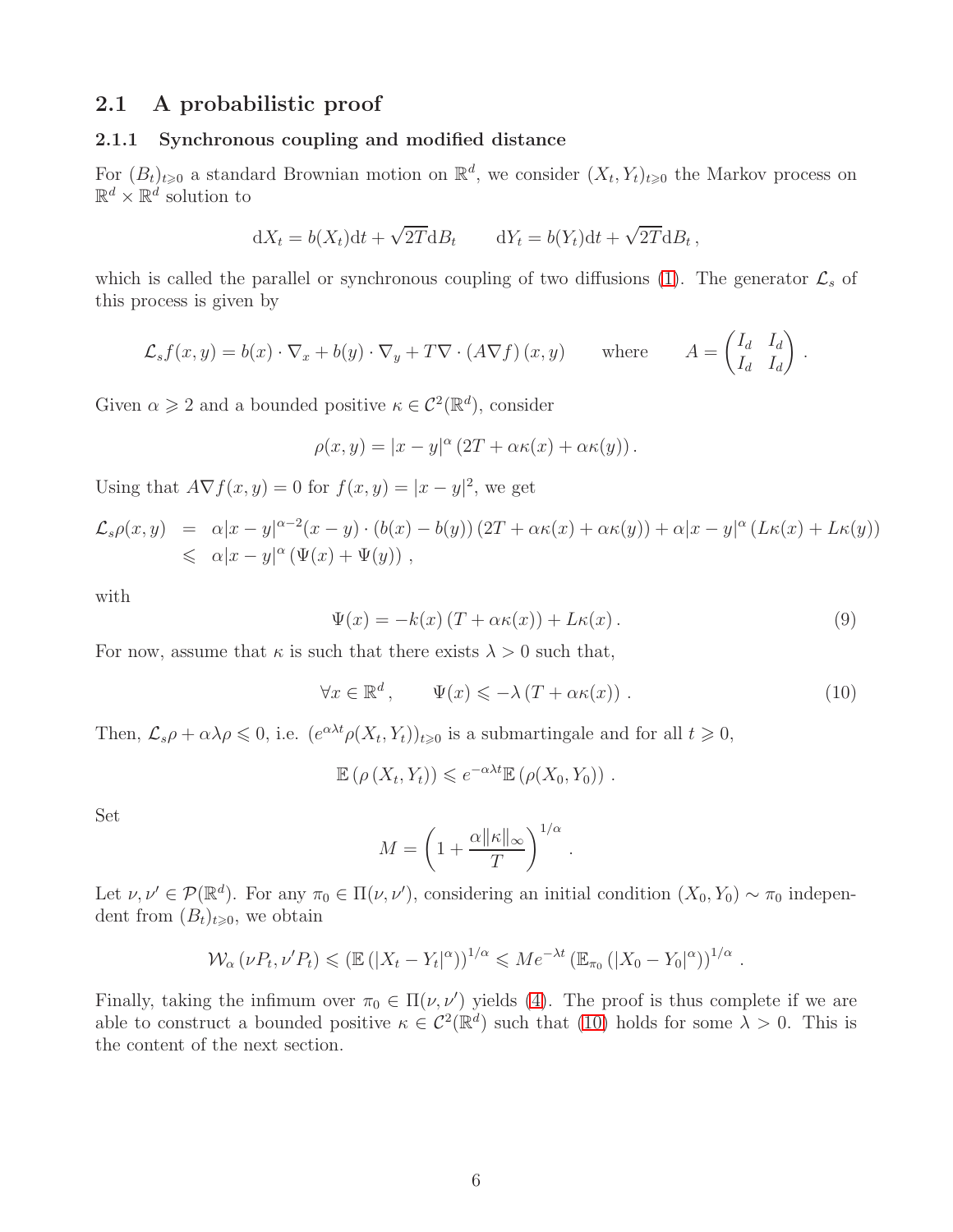## <span id="page-5-1"></span>2.1 A probabilistic proof

### 2.1.1 Synchronous coupling and modified distance

For  $(B_t)_{t\geqslant0}$  a standard Brownian motion on  $\mathbb{R}^d$ , we consider  $(X_t, Y_t)_{t\geqslant0}$  the Markov process on  $\mathbb{R}^d \times \mathbb{R}^d$  solution to

$$
dX_t = b(X_t)dt + \sqrt{2T}dB_t \qquad dY_t = b(Y_t)dt + \sqrt{2T}dB_t,
$$

which is called the parallel or synchronous coupling of two diffusions [\(1\)](#page-0-1). The generator  $\mathcal{L}_s$  of this process is given by

$$
\mathcal{L}_s f(x, y) = b(x) \cdot \nabla_x + b(y) \cdot \nabla_y + T \nabla \cdot (A \nabla f)(x, y) \quad \text{where} \quad A = \begin{pmatrix} I_d & I_d \\ I_d & I_d \end{pmatrix}.
$$

Given  $\alpha \geqslant 2$  and a bounded positive  $\kappa \in C^2(\mathbb{R}^d)$ , consider

$$
\rho(x,y) = |x - y|^{\alpha} (2T + \alpha \kappa(x) + \alpha \kappa(y)).
$$

Using that  $A\nabla f(x, y) = 0$  for  $f(x, y) = |x - y|^2$ , we get

$$
\mathcal{L}_s \rho(x, y) = \alpha |x - y|^{\alpha - 2} (x - y) \cdot (b(x) - b(y)) (2T + \alpha \kappa(x) + \alpha \kappa(y)) + \alpha |x - y|^{\alpha} (L\kappa(x) + L\kappa(y))
$$
  
\$\leq \alpha |x - y|^{\alpha} (\Psi(x) + \Psi(y)),

with

<span id="page-5-2"></span>
$$
\Psi(x) = -k(x) \left( T + \alpha \kappa(x) \right) + L \kappa(x) \,. \tag{9}
$$

For now, assume that  $\kappa$  is such that there exists  $\lambda > 0$  such that,

<span id="page-5-0"></span>
$$
\forall x \in \mathbb{R}^d, \qquad \Psi(x) \leqslant -\lambda \left( T + \alpha \kappa(x) \right). \tag{10}
$$

Then,  $\mathcal{L}_s \rho + \alpha \lambda \rho \leq 0$ , i.e.  $(e^{\alpha \lambda t} \rho(X_t, Y_t))_{t \geq 0}$  is a submartingale and for all  $t \geq 0$ ,

$$
\mathbb{E}\left(\rho\left(X_t,Y_t\right)\right) \leqslant e^{-\alpha\lambda t}\mathbb{E}\left(\rho(X_0,Y_0)\right).
$$

Set

$$
M = \left(1 + \frac{\alpha ||\kappa||_{\infty}}{T}\right)^{1/\alpha}.
$$

Let  $\nu, \nu' \in \mathcal{P}(\mathbb{R}^d)$ . For any  $\pi_0 \in \Pi(\nu, \nu')$ , considering an initial condition  $(X_0, Y_0) \sim \pi_0$  independent from  $(B_t)_{t\geqslant0}$ , we obtain

$$
\mathcal{W}_{\alpha}(\nu P_t, \nu' P_t) \leq (\mathbb{E}(|X_t - Y_t|^{\alpha}))^{1/\alpha} \leqslant Me^{-\lambda t} (\mathbb{E}_{\pi_0}(|X_0 - Y_0|^{\alpha}))^{1/\alpha}.
$$

Finally, taking the infimum over  $\pi_0 \in \Pi(\nu, \nu')$  yields [\(4\)](#page-1-0). The proof is thus complete if we are able to construct a bounded positive  $\kappa \in C^2(\mathbb{R}^d)$  such that [\(10\)](#page-5-0) holds for some  $\lambda > 0$ . This is the content of the next section.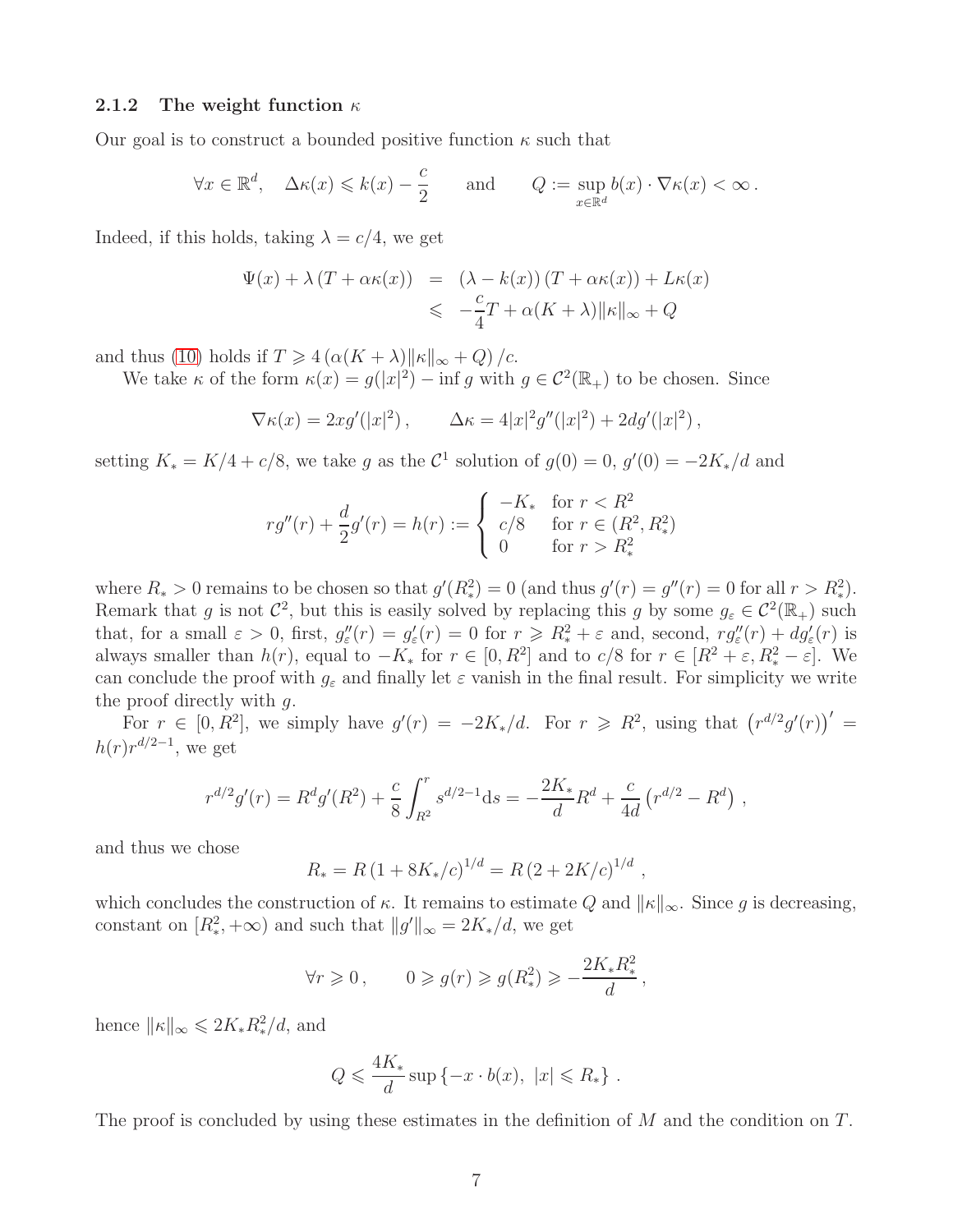#### <span id="page-6-0"></span>2.1.2 The weight function  $\kappa$

Our goal is to construct a bounded positive function  $\kappa$  such that

$$
\forall x \in \mathbb{R}^d, \quad \Delta \kappa(x) \leq k(x) - \frac{c}{2} \qquad \text{and} \qquad Q := \sup_{x \in \mathbb{R}^d} b(x) \cdot \nabla \kappa(x) < \infty \, .
$$

Indeed, if this holds, taking  $\lambda = c/4$ , we get

$$
\Psi(x) + \lambda (T + \alpha \kappa(x)) = (\lambda - k(x))(T + \alpha \kappa(x)) + L\kappa(x)
$$
  

$$
\leq -\frac{c}{4}T + \alpha(K + \lambda) ||\kappa||_{\infty} + Q
$$

and thus [\(10\)](#page-5-0) holds if  $T \geq 4 \left( \alpha (K + \lambda) ||\kappa||_{\infty} + Q \right) / c$ .

We take  $\kappa$  of the form  $\kappa(x) = g(|x|^2) - \inf g$  with  $g \in C^2(\mathbb{R}_+)$  to be chosen. Since

$$
\nabla \kappa(x) = 2x g'(|x|^2), \qquad \Delta \kappa = 4|x|^2 g''(|x|^2) + 2dg'(|x|^2),
$$

setting  $K_* = K/4 + c/8$ , we take g as the  $C^1$  solution of  $g(0) = 0$ ,  $g'(0) = -2K_*/d$  and

$$
r g''(r) + \frac{d}{2}g'(r) = h(r) := \begin{cases} -K_* & \text{for } r < R^2\\ c/8 & \text{for } r \in (R^2, R^2_*)\\ 0 & \text{for } r > R^2_* \end{cases}
$$

where  $R_* > 0$  remains to be chosen so that  $g'(R_*^2) = 0$  (and thus  $g'(r) = g''(r) = 0$  for all  $r > R_*^2$ ). Remark that g is not  $\mathcal{C}^2$ , but this is easily solved by replacing this g by some  $g_{\varepsilon} \in \mathcal{C}^2(\mathbb{R}_+)$  such that, for a small  $\varepsilon > 0$ , first,  $g''_{\varepsilon}(r) = g'_{\varepsilon}(r) = 0$  for  $r \ge R_*^2 + \varepsilon$  and, second,  $r g''_{\varepsilon}(r) + dg'_{\varepsilon}(r)$  is always smaller than  $h(r)$ , equal to  $-K_*$  for  $r \in [0, R^2]$  and to  $c/8$  for  $r \in [R^2 + \varepsilon, R_*^2 - \varepsilon]$ . We can conclude the proof with  $g_{\varepsilon}$  and finally let  $\varepsilon$  vanish in the final result. For simplicity we write the proof directly with g.

For  $r \in [0, R^2]$ , we simply have  $g'(r) = -2K_*/d$ . For  $r \geq R^2$ , using that  $(r^{d/2}g'(r))' =$  $h(r)r^{d/2-1}$ , we get

$$
r^{d/2}g'(r) = R^d g'(R^2) + \frac{c}{8} \int_{R^2}^r s^{d/2 - 1} \mathrm{d}s = -\frac{2K_*}{d} R^d + \frac{c}{4d} \left( r^{d/2} - R^d \right) ,
$$

and thus we chose

$$
R_* = R (1 + 8K_*/c)^{1/d} = R (2 + 2K/c)^{1/d}
$$

,

which concludes the construction of  $\kappa$ . It remains to estimate Q and  $\|\kappa\|_{\infty}$ . Since g is decreasing, constant on  $[R_*^2, +\infty)$  and such that  $||g'||_{\infty} = 2K_*/d$ , we get

$$
\forall r \geqslant 0 \,, \qquad 0 \geqslant g(r) \geqslant g(R_{*}^{2}) \geqslant -\frac{2K_{*}R_{*}^{2}}{d} \,,
$$

hence  $\|\kappa\|_{\infty} \leq 2K_*R_*^2/d$ , and

$$
Q \leqslant \frac{4K_*}{d} \sup \{-x \cdot b(x), \ |x| \leqslant R_*\} .
$$

The proof is concluded by using these estimates in the definition of  $M$  and the condition on  $T$ .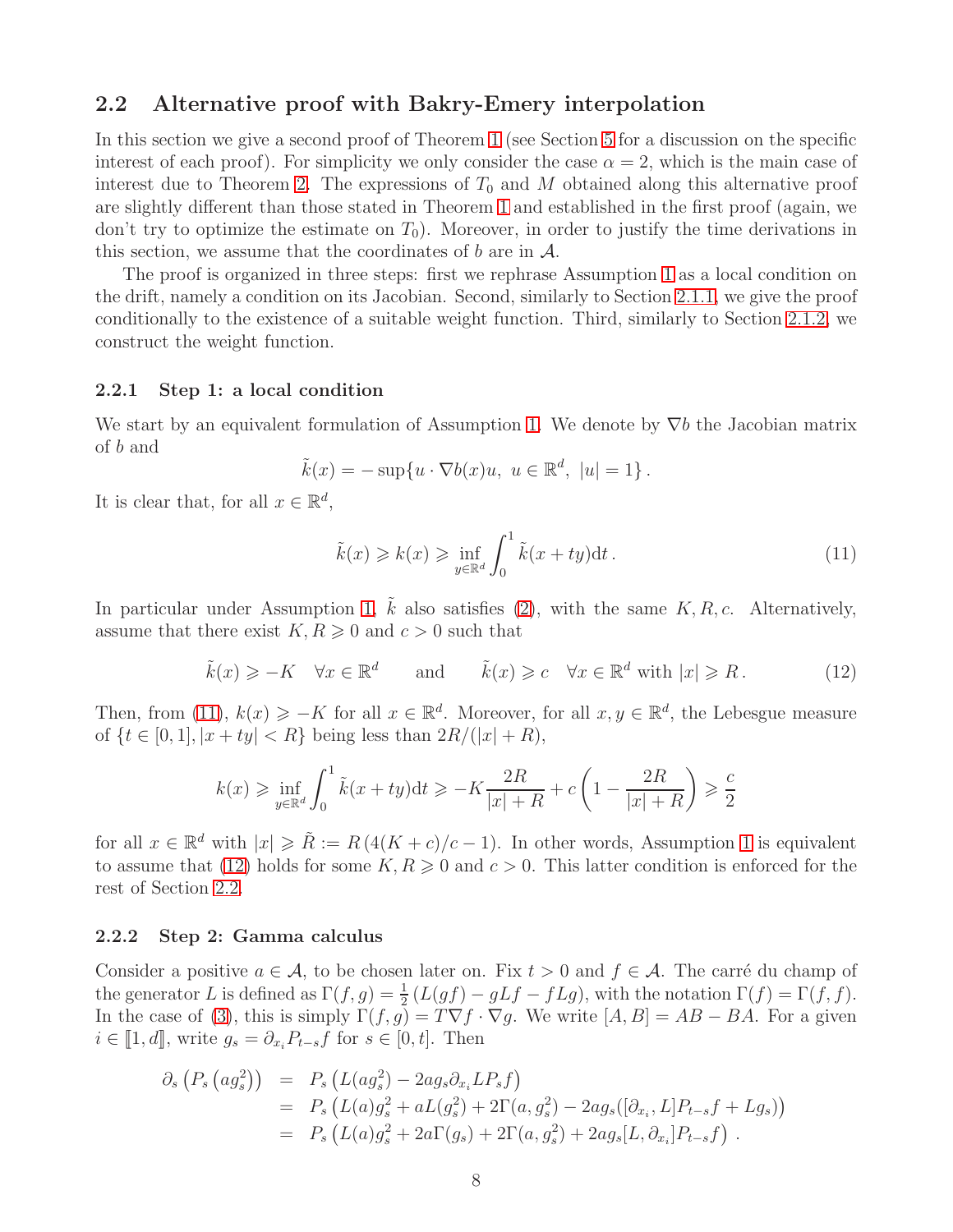### <span id="page-7-2"></span>2.2 Alternative proof with Bakry-Emery interpolation

In this section we give a second proof of Theorem [1](#page-2-1) (see Section [5](#page-19-0) for a discussion on the specific interest of each proof). For simplicity we only consider the case  $\alpha = 2$ , which is the main case of interest due to Theorem [2.](#page-2-2) The expressions of  $T_0$  and M obtained along this alternative proof are slightly different than those stated in Theorem [1](#page-2-1) and established in the first proof (again, we don't try to optimize the estimate on  $T_0$ ). Moreover, in order to justify the time derivations in this section, we assume that the coordinates of b are in  $\mathcal{A}$ .

The proof is organized in three steps: first we rephrase Assumption [1](#page-0-0) as a local condition on the drift, namely a condition on its Jacobian. Second, similarly to Section [2.1.1,](#page-5-1) we give the proof conditionally to the existence of a suitable weight function. Third, similarly to Section [2.1.2,](#page-6-0) we construct the weight function.

#### <span id="page-7-3"></span>2.2.1 Step 1: a local condition

We start by an equivalent formulation of Assumption [1.](#page-0-0) We denote by  $\nabla b$  the Jacobian matrix of b and

$$
\tilde{k}(x) = -\sup\{u \cdot \nabla b(x)u, \ u \in \mathbb{R}^d, \ |u|=1\}.
$$

It is clear that, for all  $x \in \mathbb{R}^d$ ,

<span id="page-7-0"></span>
$$
\tilde{k}(x) \geqslant k(x) \geqslant \inf_{y \in \mathbb{R}^d} \int_0^1 \tilde{k}(x + ty) \mathrm{d}t \,. \tag{11}
$$

In particular under Assumption [1,](#page-0-0)  $\tilde{k}$  also satisfies [\(2\)](#page-0-2), with the same  $K, R, c$ . Alternatively, assume that there exist  $K, R \geqslant 0$  and  $c > 0$  such that

<span id="page-7-1"></span>
$$
\tilde{k}(x) \geq -K \quad \forall x \in \mathbb{R}^d \quad \text{and} \quad \tilde{k}(x) \geq c \quad \forall x \in \mathbb{R}^d \text{ with } |x| \geq R. \tag{12}
$$

Then, from [\(11\)](#page-7-0),  $k(x) \geq -K$  for all  $x \in \mathbb{R}^d$ . Moreover, for all  $x, y \in \mathbb{R}^d$ , the Lebesgue measure of  $\{t \in [0, 1], |x + ty| < R\}$  being less than  $2R/(|x| + R)$ ,

$$
k(x) \ge \inf_{y \in \mathbb{R}^d} \int_0^1 \tilde{k}(x+ty) \, \mathrm{d}t \ge -K \frac{2R}{|x|+R} + c\left(1 - \frac{2R}{|x|+R}\right) \ge \frac{c}{2}
$$

for all  $x \in \mathbb{R}^d$  with  $|x| \geq \tilde{R} := R(4(K+c)/c-1)$ . In other words, Assumption [1](#page-0-0) is equivalent to assume that [\(12\)](#page-7-1) holds for some  $K, R \geq 0$  and  $c > 0$ . This latter condition is enforced for the rest of Section [2.2.](#page-7-2)

#### 2.2.2 Step 2: Gamma calculus

Consider a positive  $a \in \mathcal{A}$ , to be chosen later on. Fix  $t > 0$  and  $f \in \mathcal{A}$ . The carré du champ of the generator L is defined as  $\Gamma(f,g) = \frac{1}{2}(L(gf) - gLf - fLg)$ , with the notation  $\Gamma(f) = \Gamma(f, f)$ . In the case of [\(3\)](#page-1-1), this is simply  $\Gamma(f, g) = T \nabla f \cdot \nabla g$ . We write  $[A, B] = AB - BA$ . For a given  $i \in [\![1, d]\!]$ , write  $g_s = \partial_{x_i} P_{t-s} f$  for  $s \in [0, t]$ . Then

$$
\partial_s (P_s (ag_s^2)) = P_s (L(ag_s^2) - 2ag_s \partial_{x_i} L P_s f)
$$
  
=  $P_s (L(a)g_s^2 + aL(g_s^2) + 2\Gamma(a, g_s^2) - 2ag_s ([\partial_{x_i}, L] P_{t-s} f + L g_s))$   
=  $P_s (L(a)g_s^2 + 2a\Gamma(g_s) + 2\Gamma(a, g_s^2) + 2ag_s [L, \partial_{x_i}] P_{t-s} f).$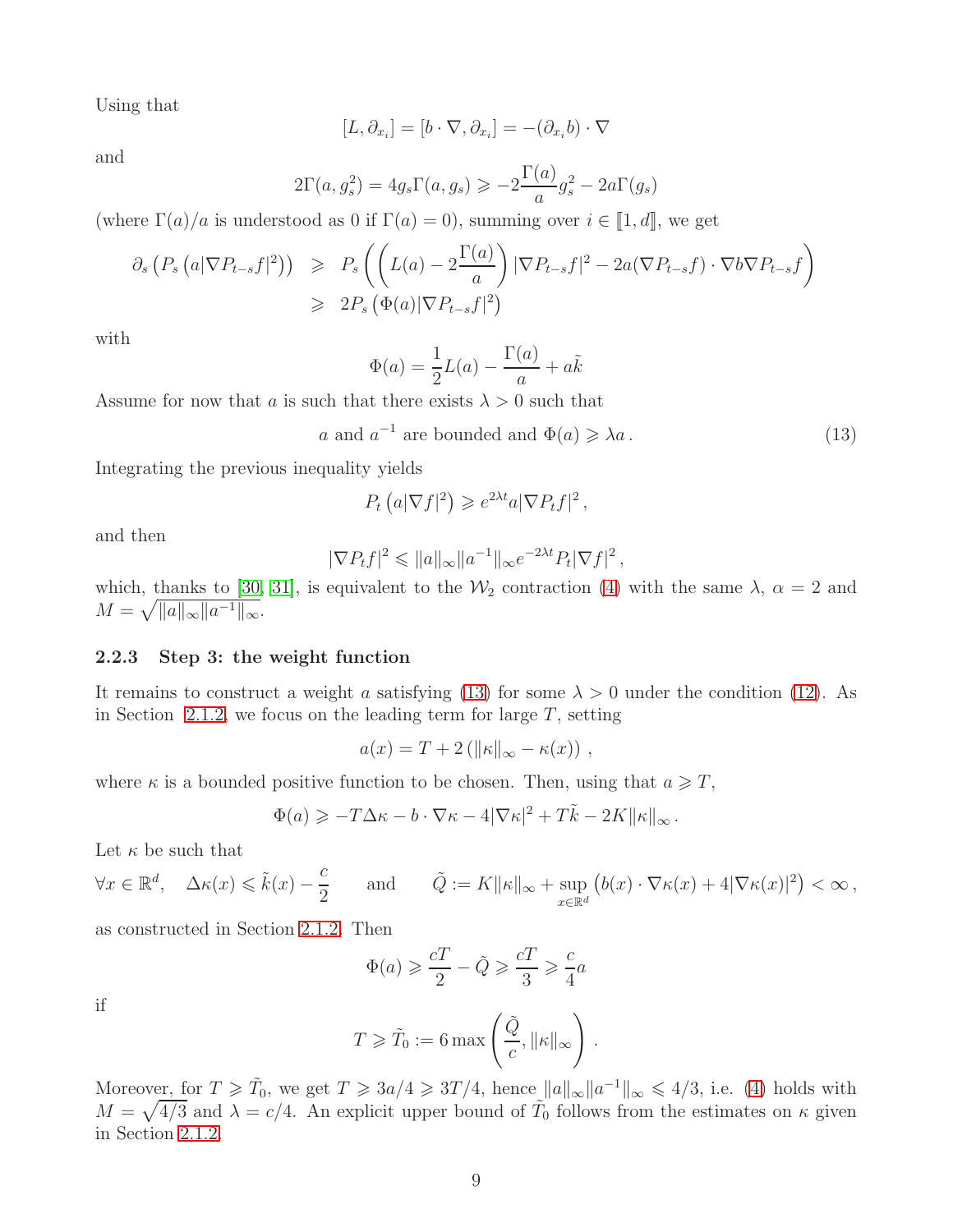Using that

$$
[L, \partial_{x_i}] = [b \cdot \nabla, \partial_{x_i}] = -(\partial_{x_i} b) \cdot \nabla
$$

and

$$
2\Gamma(a,g_s^2) = 4g_s\Gamma(a,g_s) \ge -2\frac{\Gamma(a)}{a}g_s^2 - 2a\Gamma(g_s)
$$

(where  $\Gamma(a)/a$  is understood as 0 if  $\Gamma(a) = 0$ ), summing over  $i \in [1, d]$ , we get

$$
\partial_s \left( P_s \left( a |\nabla P_{t-s} f|^2 \right) \right) \geqslant P_s \left( \left( L(a) - 2 \frac{\Gamma(a)}{a} \right) |\nabla P_{t-s} f|^2 - 2a (\nabla P_{t-s} f) \cdot \nabla b \nabla P_{t-s} f \right)
$$
  

$$
\geqslant 2P_s \left( \Phi(a) |\nabla P_{t-s} f|^2 \right)
$$

with

$$
\Phi(a) = \frac{1}{2}L(a) - \frac{\Gamma(a)}{a} + a\tilde{k}
$$

Assume for now that a is such that there exists  $\lambda > 0$  such that

<span id="page-8-0"></span>
$$
a
$$
 and  $a^{-1}$  are bounded and  $\Phi(a) \ge \lambda a$ . (13)

Integrating the previous inequality yields

$$
P_t\left(a|\nabla f|^2\right) \geqslant e^{2\lambda t}a|\nabla P_tf|^2\,,
$$

and then

$$
|\nabla P_t f|^2 \leqslant \|a\|_{\infty} \|a^{-1}\|_{\infty} e^{-2\lambda t} P_t |\nabla f|^2,
$$

which, thanks to [\[30,](#page-24-7) [31\]](#page-24-8), is equivalent to the  $\mathcal{W}_2$  contraction [\(4\)](#page-1-0) with the same  $\lambda$ ,  $\alpha = 2$  and  $M = \sqrt{\|a\|_{\infty} \|a^{-1}\|_{\infty}}$ .

### 2.2.3 Step 3: the weight function

It remains to construct a weight a satisfying [\(13\)](#page-8-0) for some  $\lambda > 0$  under the condition [\(12\)](#page-7-1). As in Section [2.1.2,](#page-6-0) we focus on the leading term for large  $T$ , setting

$$
a(x) = T + 2(||\kappa||_{\infty} - \kappa(x)),
$$

where  $\kappa$  is a bounded positive function to be chosen. Then, using that  $a \geqslant T$ ,

$$
\Phi(a) \geqslant -T\Delta\kappa - b\cdot\nabla\kappa - 4|\nabla\kappa|^2 + T\tilde{k} - 2K\|\kappa\|_{\infty}.
$$

Let  $\kappa$  be such that

$$
\forall x \in \mathbb{R}^d, \quad \Delta \kappa(x) \leq \tilde{k}(x) - \frac{c}{2} \qquad \text{and} \qquad \tilde{Q} := K \|\kappa\|_{\infty} + \sup_{x \in \mathbb{R}^d} \left( b(x) \cdot \nabla \kappa(x) + 4|\nabla \kappa(x)|^2 \right) < \infty \,,
$$

as constructed in Section [2.1.2.](#page-6-0) Then

$$
\Phi(a) \geqslant \frac{cT}{2} - \tilde{Q} \geqslant \frac{cT}{3} \geqslant \frac{c}{4}a
$$

if

$$
T \geqslant \tilde{T}_0 := 6 \max \left( \frac{\tilde{Q}}{c}, \|\kappa\|_{\infty} \right) .
$$

Moreover, for  $T \ge \tilde{T}_0$ , we get  $T \ge 3a/4 \ge 3T/4$ , hence  $||a||_{\infty}||a^{-1}||_{\infty} \le 4/3$ , i.e. [\(4\)](#page-1-0) holds with  $M = \sqrt{4/3}$  and  $\lambda = c/4$ . An explicit upper bound of  $\tilde{T}_0$  follows from the estimates on  $\kappa$  given in Section [2.1.2.](#page-6-0)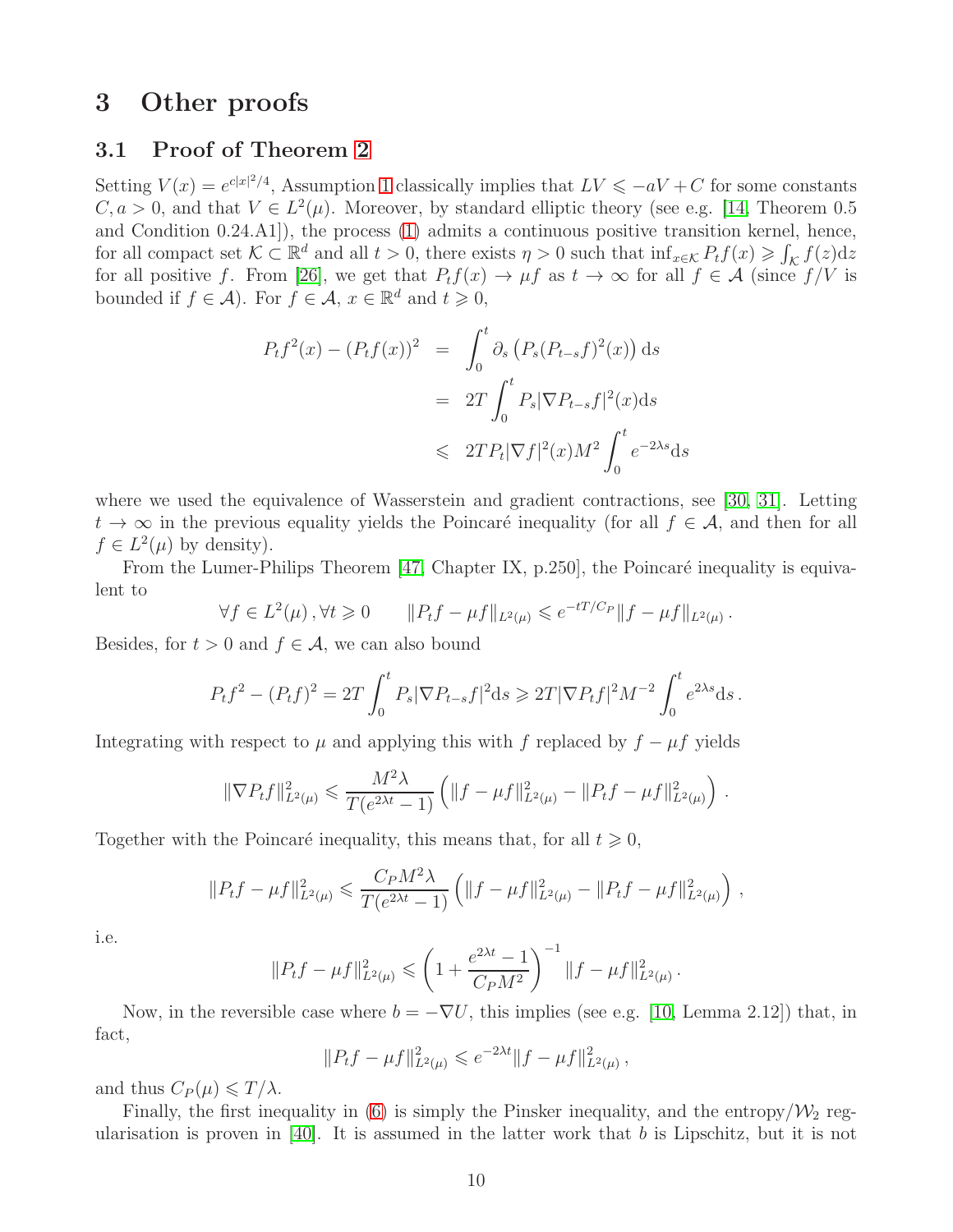# <span id="page-9-1"></span><span id="page-9-0"></span>3 Other proofs

# 3.1 Proof of Theorem [2](#page-2-2)

Setting  $V(x) = e^{c|x|^2/4}$ , Assumption [1](#page-0-0) classically implies that  $LV \leq -aV + C$  for some constants  $C, a > 0$ , and that  $V \in L^2(\mu)$ . Moreover, by standard elliptic theory (see e.g. [\[14,](#page-23-6) Theorem 0.5] and Condition 0.24.A1]), the process [\(1\)](#page-0-1) admits a continuous positive transition kernel, hence, for all compact set  $\mathcal{K} \subset \mathbb{R}^d$  and all  $t > 0$ , there exists  $\eta > 0$  such that  $\inf_{x \in \mathcal{K}} P_t f(x) \geqslant \int_{\mathcal{K}} f(z) dz$ for all positive f. From [\[26\]](#page-24-0), we get that  $P_t f(x) \to \mu f$  as  $t \to \infty$  for all  $f \in \mathcal{A}$  (since  $f/V$  is bounded if  $f \in \mathcal{A}$ ). For  $f \in \mathcal{A}$ ,  $x \in \mathbb{R}^d$  and  $t \geqslant 0$ ,

$$
P_t f^2(x) - (P_t f(x))^2 = \int_0^t \partial_s \left( P_s (P_{t-s} f)^2(x) \right) ds
$$
  

$$
= 2T \int_0^t P_s |\nabla P_{t-s} f|^2(x) ds
$$
  

$$
\leq 2T P_t |\nabla f|^2(x) M^2 \int_0^t e^{-2\lambda s} ds
$$

where we used the equivalence of Wasserstein and gradient contractions, see [\[30,](#page-24-7) [31\]](#page-24-8). Letting  $t \to \infty$  in the previous equality yields the Poincaré inequality (for all  $f \in A$ , and then for all  $f \in L^2(\mu)$  by density).

From the Lumer-Philips Theorem  $[47,$  Chapter IX, p.250, the Poincaré inequality is equivalent to

$$
\forall f \in L^{2}(\mu), \forall t \geq 0 \qquad \|P_{t}f - \mu f\|_{L^{2}(\mu)} \leq e^{-tT/C_{P}} \|f - \mu f\|_{L^{2}(\mu)}.
$$

Besides, for  $t > 0$  and  $f \in \mathcal{A}$ , we can also bound

$$
P_t f^2 - (P_t f)^2 = 2T \int_0^t P_s |\nabla P_{t-s} f|^2 ds \ge 2T |\nabla P_t f|^2 M^{-2} \int_0^t e^{2\lambda s} ds.
$$

Integrating with respect to  $\mu$  and applying this with f replaced by  $f - \mu f$  yields

$$
\|\nabla P_t f\|_{L^2(\mu)}^2 \leq \frac{M^2 \lambda}{T(e^{2\lambda t} - 1)} \left( \|f - \mu f\|_{L^2(\mu)}^2 - \|P_t f - \mu f\|_{L^2(\mu)}^2 \right).
$$

Together with the Poincaré inequality, this means that, for all  $t \geq 0$ ,

$$
||P_t f - \mu f||_{L^2(\mu)}^2 \leqslant \frac{C_P M^2 \lambda}{T(e^{2\lambda t} - 1)} \left( ||f - \mu f||_{L^2(\mu)}^2 - ||P_t f - \mu f||_{L^2(\mu)}^2 \right),
$$

i.e.

$$
||P_t f - \mu f||_{L^2(\mu)}^2 \leqslant \left(1 + \frac{e^{2\lambda t} - 1}{C_P M^2}\right)^{-1} ||f - \mu f||_{L^2(\mu)}^2.
$$

Now, in the reversible case where  $b = -\nabla U$ , this implies (see e.g. [\[10,](#page-23-7) Lemma 2.12]) that, in fact,

$$
||P_t f - \mu f||_{L^2(\mu)}^2 \le e^{-2\lambda t} ||f - \mu f||_{L^2(\mu)}^2,
$$

and thus  $C_P(\mu) \leq T/\lambda$ .

Finally, the first inequality in [\(6\)](#page-3-1) is simply the Pinsker inequality, and the entropy/ $\mathcal{W}_2$  regularisation is proven in  $[40]$ . It is assumed in the latter work that b is Lipschitz, but it is not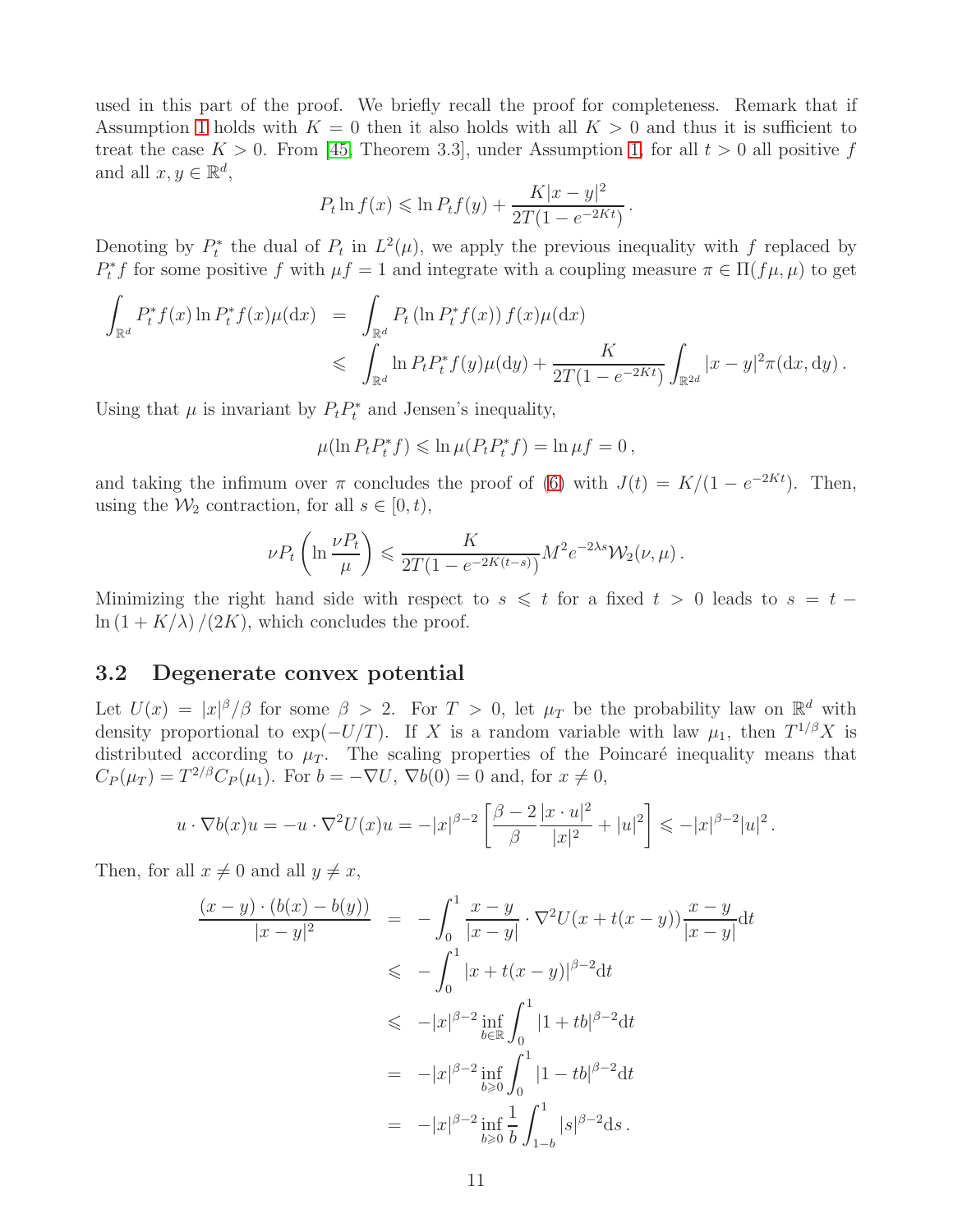used in this part of the proof. We briefly recall the proof for completeness. Remark that if Assumption [1](#page-0-0) holds with  $K = 0$  then it also holds with all  $K > 0$  and thus it is sufficient to treat the case  $K > 0$ . From [\[45,](#page-25-2) Theorem 3.3], under Assumption [1,](#page-0-0) for all  $t > 0$  all positive f and all  $x, y \in \mathbb{R}^d$ ,

$$
P_t \ln f(x) \le \ln P_t f(y) + \frac{K|x - y|^2}{2T(1 - e^{-2Kt})}.
$$

Denoting by  $P_t^*$  the dual of  $P_t$  in  $L^2(\mu)$ , we apply the previous inequality with f replaced by  $P_t^* f$  for some positive f with  $\mu f = 1$  and integrate with a coupling measure  $\pi \in \Pi(f\mu, \mu)$  to get

$$
\int_{\mathbb{R}^d} P_t^* f(x) \ln P_t^* f(x) \mu(\mathrm{d}x) = \int_{\mathbb{R}^d} P_t \left( \ln P_t^* f(x) \right) f(x) \mu(\mathrm{d}x) \n\leq \int_{\mathbb{R}^d} \ln P_t P_t^* f(y) \mu(\mathrm{d}y) + \frac{K}{2T(1 - e^{-2Kt})} \int_{\mathbb{R}^{2d}} |x - y|^2 \pi(\mathrm{d}x, \mathrm{d}y).
$$

Using that  $\mu$  is invariant by  $P_t P_t^*$  and Jensen's inequality,

$$
\mu(\ln P_t P_t^* f) \leqslant \ln \mu(P_t P_t^* f) = \ln \mu f = 0,
$$

and taking the infimum over  $\pi$  concludes the proof of [\(6\)](#page-3-1) with  $J(t) = K/(1 - e^{-2Kt})$ . Then, using the  $\mathcal{W}_2$  contraction, for all  $s \in [0, t)$ ,

$$
\nu P_t \left( \ln \frac{\nu P_t}{\mu} \right) \leqslant \frac{K}{2T(1 - e^{-2K(t-s)})} M^2 e^{-2\lambda s} \mathcal{W}_2(\nu, \mu) .
$$

Minimizing the right hand side with respect to  $s \leq t$  for a fixed  $t > 0$  leads to  $s = t \ln (1 + K/\lambda)/(2K)$ , which concludes the proof.

# <span id="page-10-0"></span>3.2 Degenerate convex potential

Let  $U(x) = |x|^{\beta}/\beta$  for some  $\beta > 2$ . For  $T > 0$ , let  $\mu_T$  be the probability law on  $\mathbb{R}^d$  with density proportional to  $\exp(-U/T)$ . If X is a random variable with law  $\mu_1$ , then  $T^{1/\beta}X$  is distributed according to  $\mu_T$ . The scaling properties of the Poincaré inequality means that  $C_P(\mu_T) = T^{2/\beta} C_P(\mu_1)$ . For  $b = -\nabla U$ ,  $\nabla b(0) = 0$  and, for  $x \neq 0$ ,

$$
u \cdot \nabla b(x)u = -u \cdot \nabla^2 U(x)u = -|x|^{\beta-2} \left[ \frac{\beta-2}{\beta} \frac{|x \cdot u|^2}{|x|^2} + |u|^2 \right] \leq -|x|^{\beta-2}|u|^2.
$$

Then, for all  $x \neq 0$  and all  $y \neq x$ ,

$$
\frac{(x-y)\cdot(b(x)-b(y))}{|x-y|^2} = -\int_0^1 \frac{x-y}{|x-y|} \cdot \nabla^2 U(x+t(x-y)) \frac{x-y}{|x-y|} dt
$$
  
\n
$$
\leq -\int_0^1 |x+t(x-y)|^{\beta-2} dt
$$
  
\n
$$
\leq -|x|^{\beta-2} \inf_{b\in\mathbb{R}} \int_0^1 |1+tb|^{\beta-2} dt
$$
  
\n
$$
= -|x|^{\beta-2} \inf_{b\geqslant 0} \int_0^1 |1-tb|^{\beta-2} dt
$$
  
\n
$$
= -|x|^{\beta-2} \inf_{b\geqslant 0} \frac{1}{b} \int_{1-b}^1 |s|^{\beta-2} ds.
$$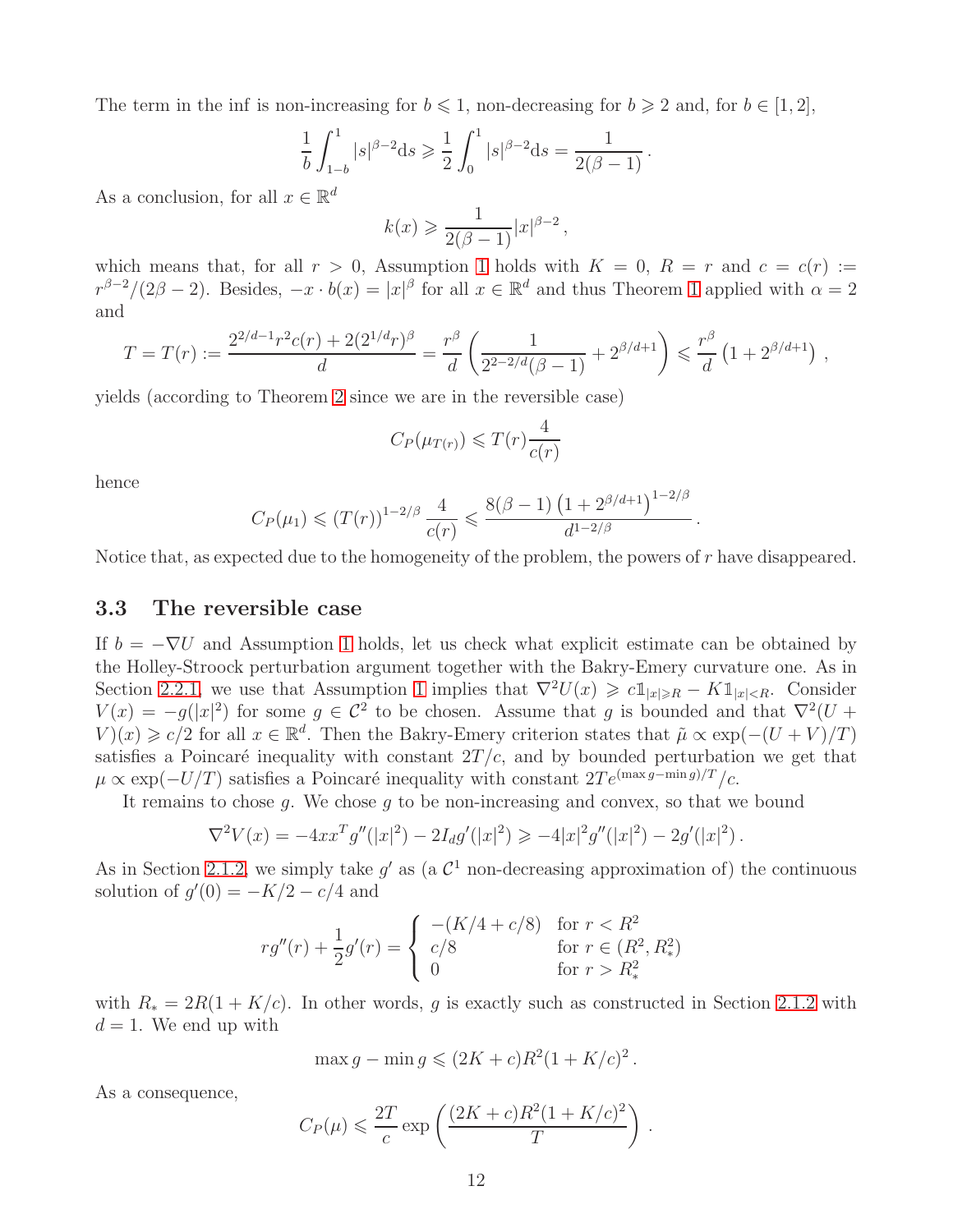The term in the inf is non-increasing for  $b \leq 1$ , non-decreasing for  $b \geq 2$  and, for  $b \in [1, 2]$ ,

$$
\frac{1}{b} \int_{1-b}^{1} |s|^{\beta - 2} ds \ge \frac{1}{2} \int_{0}^{1} |s|^{\beta - 2} ds = \frac{1}{2(\beta - 1)}.
$$

As a conclusion, for all  $x \in \mathbb{R}^d$ 

$$
k(x) \geqslant \frac{1}{2(\beta - 1)} |x|^{\beta - 2},
$$

which means that, for all  $r > 0$ , Assumption [1](#page-0-0) holds with  $K = 0$ ,  $R = r$  and  $c = c(r) :=$  $r^{\beta-2}/(2\beta-2)$ . Besides,  $-x \cdot b(x) = |x|^{\beta}$  for all  $x \in \mathbb{R}^d$  and thus Theorem [1](#page-2-1) applied with  $\alpha = 2$ and

$$
T = T(r) := \frac{2^{2/d-1}r^2c(r) + 2(2^{1/d}r)^{\beta}}{d} = \frac{r^{\beta}}{d} \left(\frac{1}{2^{2-2/d}(\beta-1)} + 2^{\beta/d+1}\right) \leq \frac{r^{\beta}}{d} \left(1 + 2^{\beta/d+1}\right) ,
$$

yields (according to Theorem [2](#page-2-2) since we are in the reversible case)

$$
C_P(\mu_{T(r)}) \leqslant T(r) \frac{4}{c(r)}
$$

hence

$$
C_P(\mu_1) \le (T(r))^{1-2/\beta} \frac{4}{c(r)} \le \frac{8(\beta-1) (1+2^{\beta/d+1})^{1-2/\beta}}{d^{1-2/\beta}}.
$$

<span id="page-11-0"></span>Notice that, as expected due to the homogeneity of the problem, the powers of r have disappeared.

# 3.3 The reversible case

If  $b = -\nabla U$  and Assumption [1](#page-0-0) holds, let us check what explicit estimate can be obtained by the Holley-Stroock perturbation argument together with the Bakry-Emery curvature one. As in Section [2.2.1,](#page-7-3) we use that Assumption [1](#page-0-0) implies that  $\nabla^2 U(x) \geq c \mathbb{1}_{|x| \geq R} - K \mathbb{1}_{|x| < R}$ . Consider  $V(x) = -g(|x|^2)$  for some  $g \in C^2$  to be chosen. Assume that g is bounded and that  $\nabla^2(U +$  $V(x) \geq c/2$  for all  $x \in \mathbb{R}^d$ . Then the Bakry-Emery criterion states that  $\tilde{\mu} \propto \exp(-(U+V)/T)$ satisfies a Poincaré inequality with constant  $2T/c$ , and by bounded perturbation we get that  $\mu \propto \exp(-U/T)$  satisfies a Poincaré inequality with constant  $2Te^{(\max g - \min g)/T}/c$ .

It remains to chose  $g$ . We chose  $g$  to be non-increasing and convex, so that we bound

$$
\nabla^2 V(x) = -4xx^T g''(|x|^2) - 2I_d g'(|x|^2) \ge -4|x|^2 g''(|x|^2) - 2g'(|x|^2).
$$

As in Section [2.1.2,](#page-6-0) we simply take  $g'$  as (a  $\mathcal{C}^1$  non-decreasing approximation of) the continuous solution of  $g'(0) = -K/2 - c/4$  and

$$
r g''(r) + \frac{1}{2}g'(r) = \begin{cases} -(K/4 + c/8) & \text{for } r < R^2\\ c/8 & \text{for } r \in (R^2, R^2_*)\\ 0 & \text{for } r > R^2_* \end{cases}
$$

with  $R_* = 2R(1 + K/c)$ . In other words, g is exactly such as constructed in Section [2.1.2](#page-6-0) with  $d = 1$ . We end up with

$$
\max g - \min g \leq (2K + c)R^2(1 + K/c)^2
$$
.

As a consequence,

$$
C_P(\mu) \leqslant \frac{2T}{c} \exp\left(\frac{(2K+c)R^2(1+K/c)^2}{T}\right)
$$

.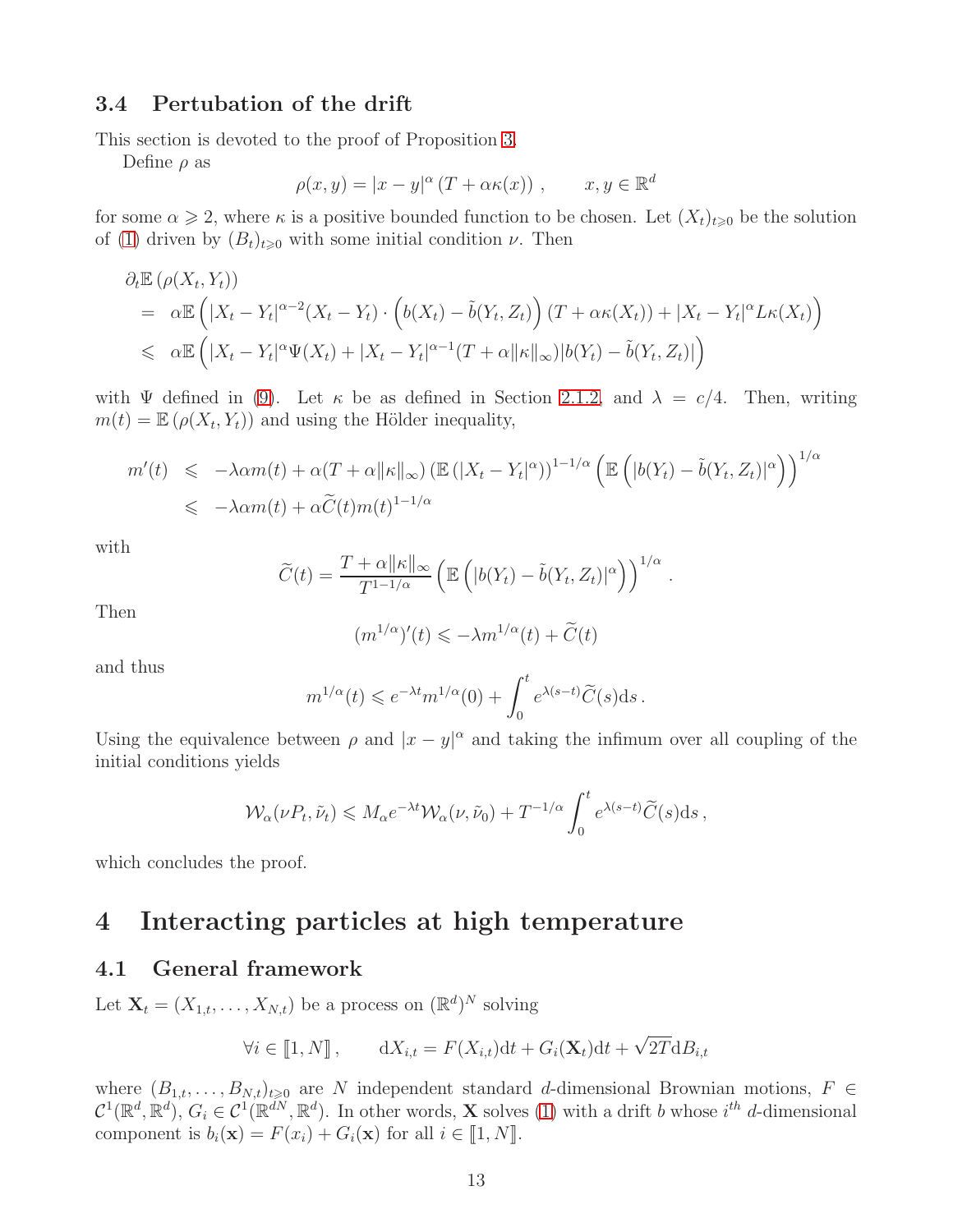# <span id="page-12-0"></span>3.4 Pertubation of the drift

This section is devoted to the proof of Proposition [3.](#page-4-2)

Define  $\rho$  as

$$
\rho(x, y) = |x - y|^{\alpha} (T + \alpha \kappa(x)), \qquad x, y \in \mathbb{R}^d
$$

for some  $\alpha \geq 2$ , where  $\kappa$  is a positive bounded function to be chosen. Let  $(X_t)_{t\geqslant0}$  be the solution of [\(1\)](#page-0-1) driven by  $(B_t)_{t\geqslant0}$  with some initial condition  $\nu$ . Then

$$
\partial_t \mathbb{E} \left( \rho(X_t, Y_t) \right)
$$
\n
$$
= \alpha \mathbb{E} \left( |X_t - Y_t|^{\alpha - 2} (X_t - Y_t) \cdot \left( b(X_t) - \tilde{b}(Y_t, Z_t) \right) (T + \alpha \kappa(X_t)) + |X_t - Y_t|^{\alpha} L \kappa(X_t) \right)
$$
\n
$$
\leq \alpha \mathbb{E} \left( |X_t - Y_t|^{\alpha} \Psi(X_t) + |X_t - Y_t|^{\alpha - 1} (T + \alpha ||\kappa||_{\infty}) |b(Y_t) - \tilde{b}(Y_t, Z_t)| \right)
$$

with  $\Psi$  defined in [\(9\)](#page-5-2). Let  $\kappa$  be as defined in Section [2.1.2,](#page-6-0) and  $\lambda = c/4$ . Then, writing  $m(t) = \mathbb{E} \left( \rho(X_t, Y_t) \right)$  and using the Hölder inequality,

$$
m'(t) \leq -\lambda \alpha m(t) + \alpha (T + \alpha ||\kappa||_{\infty}) \left( \mathbb{E} \left( |X_t - Y_t|^{\alpha} \right) \right)^{1 - 1/\alpha} \left( \mathbb{E} \left( |b(Y_t) - \tilde{b}(Y_t, Z_t)|^{\alpha} \right) \right)^{1/\alpha}
$$
  

$$
\leq -\lambda \alpha m(t) + \alpha \widetilde{C}(t) m(t)^{1 - 1/\alpha}
$$

with

$$
\widetilde{C}(t) = \frac{T + \alpha ||\kappa||_{\infty}}{T^{1-1/\alpha}} \left( \mathbb{E}\left( |b(Y_t) - \tilde{b}(Y_t, Z_t)|^{\alpha} \right) \right)^{1/\alpha}
$$

.

Then

$$
(m^{1/\alpha})'(t) \leqslant -\lambda m^{1/\alpha}(t) + \widetilde{C}(t)
$$

and thus

$$
m^{1/\alpha}(t) \leqslant e^{-\lambda t} m^{1/\alpha}(0) + \int_0^t e^{\lambda(s-t)} \widetilde{C}(s) \mathrm{d} s \,.
$$

Using the equivalence between  $\rho$  and  $|x - y|^{\alpha}$  and taking the infimum over all coupling of the initial conditions yields

$$
\mathcal{W}_{\alpha}(\nu P_t, \tilde{\nu}_t) \leqslant M_{\alpha} e^{-\lambda t} \mathcal{W}_{\alpha}(\nu, \tilde{\nu}_0) + T^{-1/\alpha} \int_0^t e^{\lambda (s-t)} \widetilde{C}(s) \mathrm{d} s \,,
$$

<span id="page-12-1"></span>which concludes the proof.

# 4 Interacting particles at high temperature

# 4.1 General framework

Let  $\mathbf{X}_t = (X_{1,t}, \dots, X_{N,t})$  be a process on  $(\mathbb{R}^d)^N$  solving

$$
\forall i \in [\![1, N]\!], \qquad \mathrm{d}X_{i,t} = F(X_{i,t})\mathrm{d}t + G_i(\mathbf{X}_t)\mathrm{d}t + \sqrt{2T}\mathrm{d}B_{i,t}
$$

where  $(B_{1,t},\ldots,B_{N,t})_{t\geq0}$  are N independent standard d-dimensional Brownian motions,  $F \in$  $\mathcal{C}^1(\mathbb{R}^d, \mathbb{R}^d)$ ,  $G_i \in \mathcal{C}^1(\mathbb{R}^{dN}, \mathbb{R}^d)$ . In other words, **X** solves [\(1\)](#page-0-1) with a drift b whose  $i^{th}$  d-dimensional component is  $b_i(\mathbf{x}) = F(x_i) + G_i(\mathbf{x})$  for all  $i \in [1, N]$ .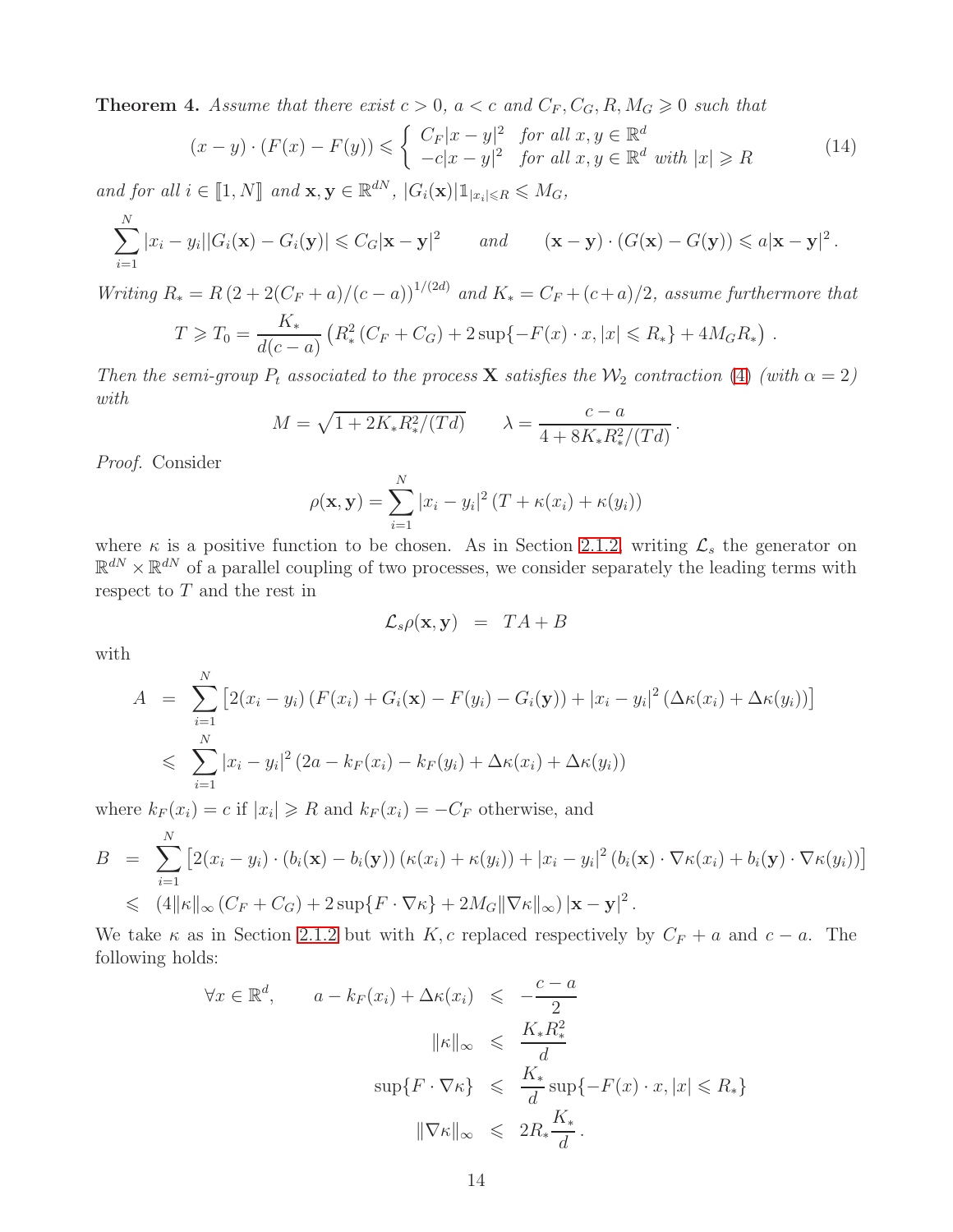<span id="page-13-0"></span>**Theorem 4.** Assume that there exist  $c > 0$ ,  $a < c$  and  $C_F$ ,  $C_G$ ,  $R$ ,  $M_G \ge 0$  such that

<span id="page-13-1"></span>
$$
(x - y) \cdot (F(x) - F(y)) \leq \begin{cases} C_F |x - y|^2 & \text{for all } x, y \in \mathbb{R}^d \\ -c|x - y|^2 & \text{for all } x, y \in \mathbb{R}^d \text{ with } |x| \geq R \end{cases}
$$
(14)

and for all  $i \in [\![1,N]\!]$  and  $\mathbf{x}, \mathbf{y} \in \mathbb{R}^{dN}$ ,  $|G_i(\mathbf{x})| \mathbb{1}_{|x_i| \leq R} \leq M_G$ ,

$$
\sum_{i=1}^N |x_i - y_i||G_i(\mathbf{x}) - G_i(\mathbf{y})| \leq C_G |\mathbf{x} - \mathbf{y}|^2 \quad and \quad (\mathbf{x} - \mathbf{y}) \cdot (G(\mathbf{x}) - G(\mathbf{y})) \leq a |\mathbf{x} - \mathbf{y}|^2.
$$

Writing  $R_* = R(2 + 2(C_F + a)/(c - a))^{1/(2d)}$  and  $K_* = C_F + (c + a)/2$ , assume furthermore that

$$
T \geq T_0 = \frac{K_*}{d(c-a)} \left( R_*^2 (C_F + C_G) + 2 \sup \{-F(x) \cdot x, |x| \leq R_* \} + 4M_G R_* \right) .
$$

Then the semi-group  $P_t$  associated to the process **X** satisfies the  $\mathcal{W}_2$  contraction [\(4\)](#page-1-0) (with  $\alpha = 2$ ) with

$$
M = \sqrt{1 + 2K_* R_*^2 / (Td)} \qquad \lambda = \frac{c - a}{4 + 8K_* R_*^2 / (Td)}.
$$

Proof. Consider

$$
\rho(\mathbf{x}, \mathbf{y}) = \sum_{i=1}^{N} |x_i - y_i|^2 (T + \kappa(x_i) + \kappa(y_i))
$$

where  $\kappa$  is a positive function to be chosen. As in Section [2.1.2,](#page-6-0) writing  $\mathcal{L}_s$  the generator on  $\mathbb{R}^{dN} \times \mathbb{R}^{dN}$  of a parallel coupling of two processes, we consider separately the leading terms with respect to  $T$  and the rest in

$$
\mathcal{L}_s \rho(\mathbf{x}, \mathbf{y}) = TA + B
$$

with

$$
A = \sum_{i=1}^{N} \left[ 2(x_i - y_i) \left( F(x_i) + G_i(\mathbf{x}) - F(y_i) - G_i(\mathbf{y}) \right) + |x_i - y_i|^2 \left( \Delta \kappa(x_i) + \Delta \kappa(y_i) \right) \right]
$$
  
\$\leqslant \sum\_{i=1}^{N} |x\_i - y\_i|^2 (2a - k\_F(x\_i) - k\_F(y\_i) + \Delta \kappa(x\_i) + \Delta \kappa(y\_i))\$

where  $k_F(x_i) = c$  if  $|x_i| \ge R$  and  $k_F(x_i) = -C_F$  otherwise, and

$$
B = \sum_{i=1}^{N} \left[ 2(x_i - y_i) \cdot (b_i(\mathbf{x}) - b_i(\mathbf{y})) (\kappa(x_i) + \kappa(y_i)) + |x_i - y_i|^2 (b_i(\mathbf{x}) \cdot \nabla \kappa(x_i) + b_i(\mathbf{y}) \cdot \nabla \kappa(y_i)) \right]
$$
  
\$\leqslant (4||\kappa||\_{\infty} (C\_F + C\_G) + 2 \sup\{F \cdot \nabla \kappa\} + 2M\_G \|\nabla \kappa\|\_{\infty}) |\mathbf{x} - \mathbf{y}|^2\$.

We take  $\kappa$  as in Section [2.1.2](#page-6-0) but with K, c replaced respectively by  $C_F + a$  and  $c - a$ . The following holds:

$$
\forall x \in \mathbb{R}^d, \qquad a - k_F(x_i) + \Delta \kappa(x_i) \leqslant -\frac{c - a}{2}
$$
\n
$$
\|\kappa\|_{\infty} \leqslant \frac{K_* R_*^2}{d}
$$
\n
$$
\sup \{ F \cdot \nabla \kappa \} \leqslant \frac{K_*}{d} \sup \{ -F(x) \cdot x, |x| \leqslant R_* \}
$$
\n
$$
\|\nabla \kappa\|_{\infty} \leqslant 2R_* \frac{K_*}{d}.
$$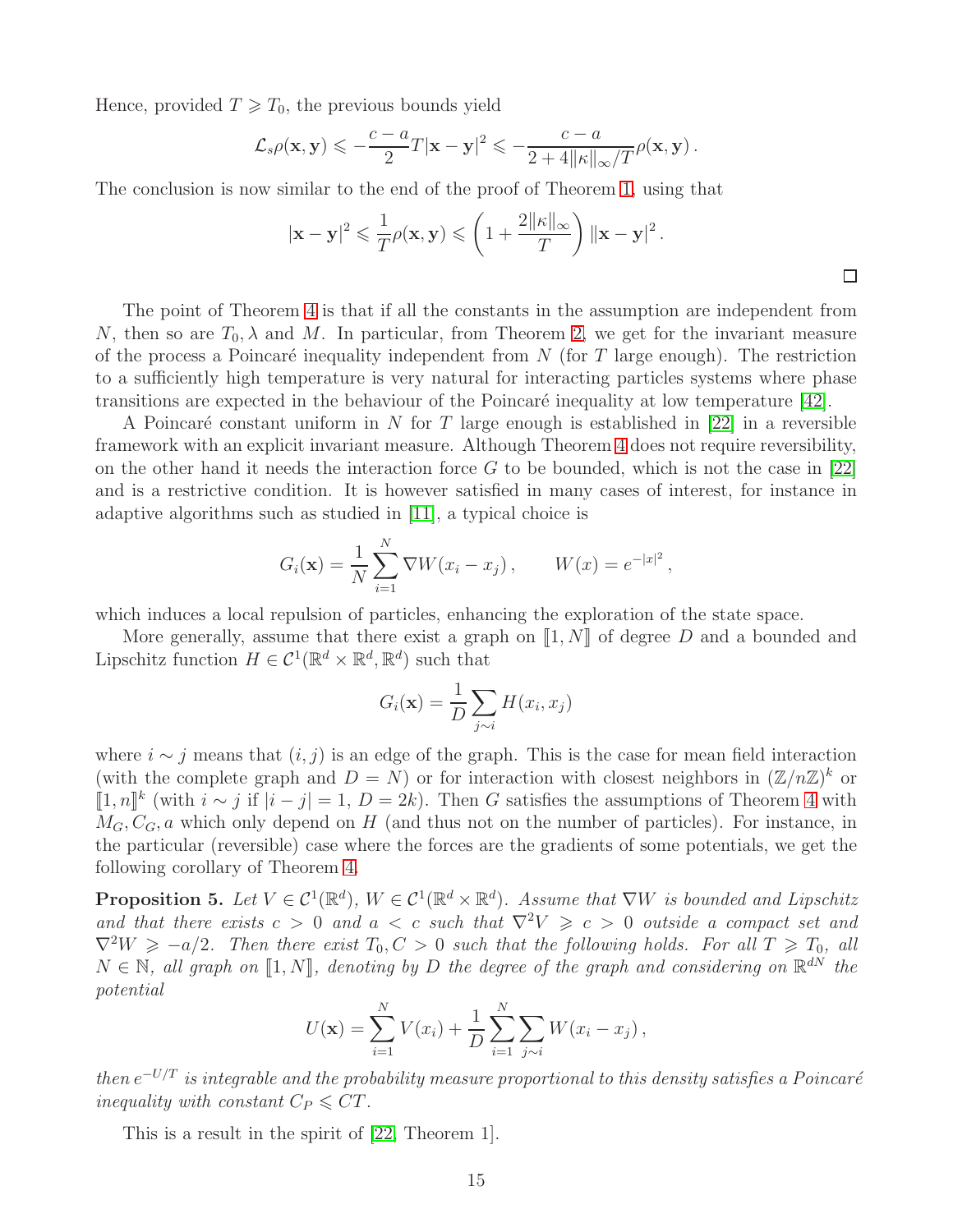Hence, provided  $T \geq T_0$ , the previous bounds yield

$$
\mathcal{L}_s \rho(\mathbf{x}, \mathbf{y}) \leqslant -\frac{c-a}{2} T |\mathbf{x} - \mathbf{y}|^2 \leqslant -\frac{c-a}{2+4||\kappa||_{\infty}/T} \rho(\mathbf{x}, \mathbf{y}).
$$

The conclusion is now similar to the end of the proof of Theorem [1,](#page-2-1) using that

$$
|\mathbf{x} - \mathbf{y}|^2 \leq \frac{1}{T} \rho(\mathbf{x}, \mathbf{y}) \leqslant \left(1 + \frac{2\|\kappa\|_{\infty}}{T}\right) \|\mathbf{x} - \mathbf{y}\|^2.
$$

The point of Theorem [4](#page-13-0) is that if all the constants in the assumption are independent from N, then so are  $T_0, \lambda$  and M. In particular, from Theorem [2,](#page-2-2) we get for the invariant measure of the process a Poincaré inequality independent from N (for T large enough). The restriction to a sufficiently high temperature is very natural for interacting particles systems where phase transitions are expected in the behaviour of the Poincaré inequality at low temperature  $[42]$ .

A Poincaré constant uniform in N for T large enough is established in [\[22\]](#page-23-8) in a reversible framework with an explicit invariant measure. Although Theorem [4](#page-13-0) does not require reversibility, on the other hand it needs the interaction force  $G$  to be bounded, which is not the case in [\[22\]](#page-23-8) and is a restrictive condition. It is however satisfied in many cases of interest, for instance in adaptive algorithms such as studied in [\[11\]](#page-23-9), a typical choice is

$$
G_i(\mathbf{x}) = \frac{1}{N} \sum_{i=1}^N \nabla W(x_i - x_j), \qquad W(x) = e^{-|x|^2},
$$

which induces a local repulsion of particles, enhancing the exploration of the state space.

More generally, assume that there exist a graph on  $\llbracket 1, N \rrbracket$  of degree D and a bounded and Lipschitz function  $H \in \mathcal{C}^1(\mathbb{R}^d \times \mathbb{R}^d, \mathbb{R}^d)$  such that

$$
G_i(\mathbf{x}) = \frac{1}{D} \sum_{j \sim i} H(x_i, x_j)
$$

where  $i \sim j$  means that  $(i, j)$  is an edge of the graph. This is the case for mean field interaction (with the complete graph and  $D = N$ ) or for interaction with closest neighbors in  $(\mathbb{Z}/n\mathbb{Z})^k$  or [1, n]<sup>k</sup> (with  $i \sim j$  if  $|i - j| = 1$ ,  $D = 2k$ ). Then G satisfies the assumptions of Theorem [4](#page-13-0) with  $M_G, C_G, a$  which only depend on H (and thus not on the number of particles). For instance, in the particular (reversible) case where the forces are the gradients of some potentials, we get the following corollary of Theorem [4.](#page-13-0)

**Proposition 5.** Let  $V \in C^1(\mathbb{R}^d)$ ,  $W \in C^1(\mathbb{R}^d \times \mathbb{R}^d)$ . Assume that  $\nabla W$  is bounded and Lipschitz and that there exists  $c > 0$  and  $a < c$  such that  $\nabla^2 V \geq c > 0$  outside a compact set and  $\nabla^2 W \ge -a/2$ . Then there exist  $T_0, C > 0$  such that the following holds. For all  $T \ge T_0$ , all  $N \in \mathbb{N}$ , all graph on  $\llbracket 1, N \rrbracket$ , denoting by D the degree of the graph and considering on  $\mathbb{R}^{dN}$  the potential

$$
U(\mathbf{x}) = \sum_{i=1}^{N} V(x_i) + \frac{1}{D} \sum_{i=1}^{N} \sum_{j \sim i} W(x_i - x_j),
$$

 $then~e^{-U/T}$  is integrable and the probability measure proportional to this density satisfies a Poincaré inequality with constant  $C_P \leq C T$ .

This is a result in the spirit of [\[22,](#page-23-8) Theorem 1].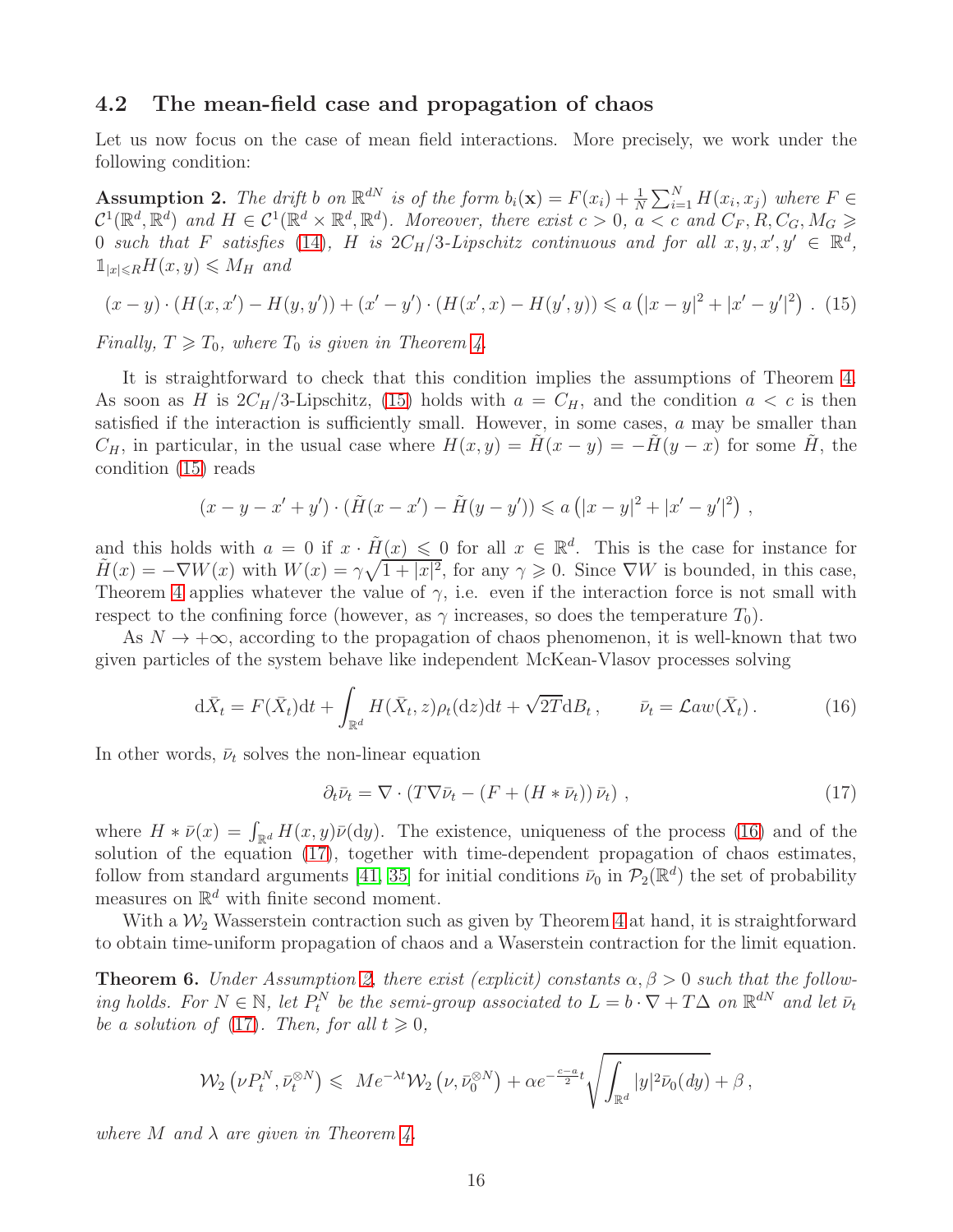### 4.2 The mean-field case and propagation of chaos

Let us now focus on the case of mean field interactions. More precisely, we work under the following condition:

<span id="page-15-4"></span>**Assumption 2.** The drift b on  $\mathbb{R}^{dN}$  is of the form  $b_i(\mathbf{x}) = F(x_i) + \frac{1}{N} \sum_{i=1}^{N} H(x_i, x_j)$  where  $F \in$  $\mathcal{C}^1(\mathbb{R}^d, \mathbb{R}^d)$  and  $H \in \mathcal{C}^1(\mathbb{R}^d \times \mathbb{R}^d, \mathbb{R}^d)$ . Moreover, there exist  $c > 0$ ,  $a < c$  and  $C_F, R, C_G, M_G > 0$ 0 such that F satisfies [\(14\)](#page-13-1), H is  $2C_H/3$ -Lipschitz continuous and for all  $x, y, x', y' \in \mathbb{R}^d$ ,  $\mathbb{1}_{|x|\leq R}H(x,y)\leqslant M_H$  and

<span id="page-15-1"></span>
$$
(x - y) \cdot (H(x, x') - H(y, y')) + (x' - y') \cdot (H(x', x) - H(y', y)) \le a(|x - y|^2 + |x' - y'|^2). \tag{15}
$$

Finally,  $T \geq T_0$ , where  $T_0$  is given in Theorem [4.](#page-13-0)

It is straightforward to check that this condition implies the assumptions of Theorem [4.](#page-13-0) As soon as H is  $2C_H/3$ -Lipschitz, [\(15\)](#page-15-1) holds with  $a = C_H$ , and the condition  $a < c$  is then satisfied if the interaction is sufficiently small. However, in some cases,  $a$  may be smaller than  $C_H$ , in particular, in the usual case where  $H(x, y) = \tilde{H}(x - y) = -\tilde{H}(y - x)$  for some  $\tilde{H}$ , the condition [\(15\)](#page-15-1) reads

$$
(x - y - x' + y') \cdot (\tilde{H}(x - x') - \tilde{H}(y - y')) \leq a (|x - y|^2 + |x' - y'|^2),
$$

and this holds with  $a = 0$  if  $x \cdot \tilde{H}(x) \leq 0$  for all  $x \in \mathbb{R}^d$ . This is the case for instance for  $\tilde{H}(x) = -\nabla W(x)$  with  $W(x) = \gamma \sqrt{1+|x|^2}$ , for any  $\gamma \geq 0$ . Since  $\nabla W$  is bounded, in this case, Theorem [4](#page-13-0) applies whatever the value of  $\gamma$ , i.e. even if the interaction force is not small with respect to the confining force (however, as  $\gamma$  increases, so does the temperature  $T_0$ ).

As  $N \to +\infty$ , according to the propagation of chaos phenomenon, it is well-known that two given particles of the system behave like independent McKean-Vlasov processes solving

<span id="page-15-2"></span>
$$
d\bar{X}_t = F(\bar{X}_t)dt + \int_{\mathbb{R}^d} H(\bar{X}_t, z)\rho_t(z)dt + \sqrt{2T}dB_t, \qquad \bar{\nu}_t = \mathcal{L}aw(\bar{X}_t).
$$
 (16)

In other words,  $\bar{\nu}_t$  solves the non-linear equation

<span id="page-15-3"></span>
$$
\partial_t \bar{\nu}_t = \nabla \cdot (T \nabla \bar{\nu}_t - (F + (H * \bar{\nu}_t)) \bar{\nu}_t) , \qquad (17)
$$

where  $H * \bar{\nu}(x) = \int_{\mathbb{R}^d} H(x, y) \bar{\nu}(\mathrm{d}y)$ . The existence, uniqueness of the process [\(16\)](#page-15-2) and of the solution of the equation [\(17\)](#page-15-3), together with time-dependent propagation of chaos estimates, follow from standard arguments [\[41,](#page-25-4) [35\]](#page-24-10) for initial conditions  $\bar{\nu}_0$  in  $\mathcal{P}_2(\mathbb{R}^d)$  the set of probability measures on  $\mathbb{R}^d$  with finite second moment.

With a  $\mathcal{W}_2$  Wasserstein contraction such as given by Theorem [4](#page-13-0) at hand, it is straightforward to obtain time-uniform propagation of chaos and a Waserstein contraction for the limit equation.

<span id="page-15-0"></span>**Theorem 6.** Under Assumption [2,](#page-15-4) there exist (explicit) constants  $\alpha, \beta > 0$  such that the following holds. For  $N \in \mathbb{N}$ , let  $P_t^N$  be the semi-group associated to  $L = b \cdot \nabla + T\Delta$  on  $\mathbb{R}^{dN}$  and let  $\bar{\nu}_t$ be a solution of [\(17\)](#page-15-3). Then, for all  $t \geq 0$ ,

$$
\mathcal{W}_2\left(\nu P_t^N,\bar{\nu}_t^{\otimes N}\right) \leqslant Me^{-\lambda t}\mathcal{W}_2\left(\nu,\bar{\nu}_0^{\otimes N}\right) + \alpha e^{-\frac{c-a}{2}t}\sqrt{\int_{\mathbb{R}^d}|y|^2\bar{\nu}_0(dy)} + \beta,
$$

where M and  $\lambda$  are given in Theorem [4.](#page-13-0)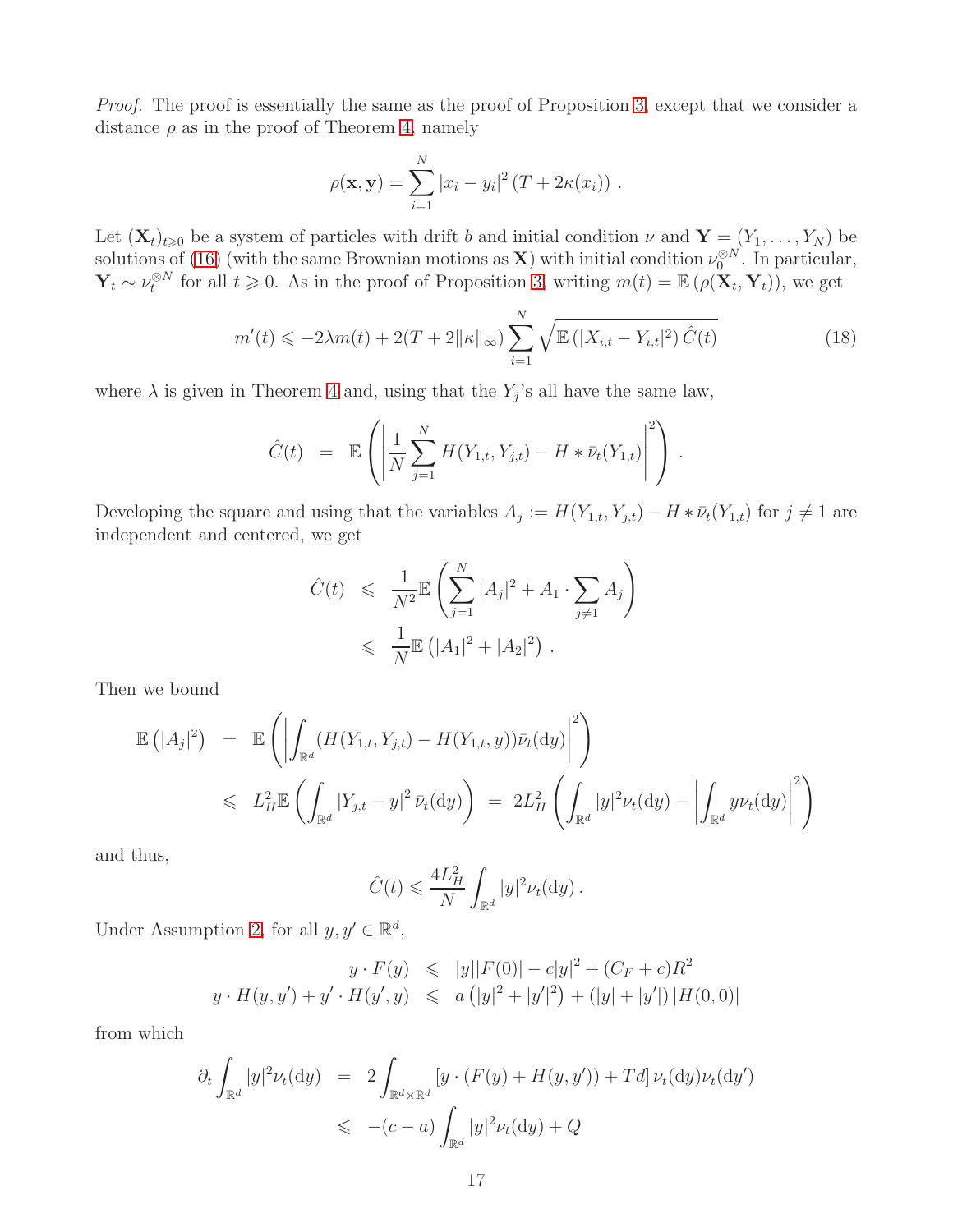Proof. The proof is essentially the same as the proof of Proposition [3,](#page-4-2) except that we consider a distance  $\rho$  as in the proof of Theorem [4,](#page-13-0) namely

$$
\rho(\mathbf{x}, \mathbf{y}) = \sum_{i=1}^{N} |x_i - y_i|^2 (T + 2\kappa(x_i)) .
$$

Let  $(\mathbf{X}_t)_{t\geqslant0}$  be a system of particles with drift b and initial condition  $\nu$  and  $\mathbf{Y} = (Y_1, \ldots, Y_N)$  be solutions of [\(16\)](#page-15-2) (with the same Brownian motions as **X**) with initial condition  $\nu_0^{\otimes N}$ . In particular,  $\mathbf{Y}_t \sim \nu_t^{\otimes N}$  for all  $t \geq 0$ . As in the proof of Proposition [3,](#page-4-2) writing  $m(t) = \mathbb{E}(\rho(\mathbf{X}_t, \mathbf{Y}_t))$ , we get

<span id="page-16-0"></span>
$$
m'(t) \leq -2\lambda m(t) + 2(T + 2\|\kappa\|\infty) \sum_{i=1}^{N} \sqrt{\mathbb{E}(|X_{i,t} - Y_{i,t}|^2) \hat{C}(t)}
$$
(18)

where  $\lambda$  is given in Theorem [4](#page-13-0) and, using that the  $Y_j$ 's all have the same law,

$$
\hat{C}(t) = \mathbb{E}\left(\left|\frac{1}{N}\sum_{j=1}^{N} H(Y_{1,t}, Y_{j,t}) - H * \bar{\nu}_t(Y_{1,t})\right|^2\right).
$$

Developing the square and using that the variables  $A_j := H(Y_{1,t}, Y_{j,t}) - H * \bar{\nu}_t(Y_{1,t})$  for  $j \neq 1$  are independent and centered, we get

$$
\hat{C}(t) \leq \frac{1}{N^2} \mathbb{E} \left( \sum_{j=1}^N |A_j|^2 + A_1 \cdot \sum_{j \neq 1} A_j \right) \leq \frac{1}{N} \mathbb{E} (|A_1|^2 + |A_2|^2).
$$

Then we bound

$$
\mathbb{E}(|A_j|^2) = \mathbb{E}\left(\left|\int_{\mathbb{R}^d} (H(Y_{1,t}, Y_{j,t}) - H(Y_{1,t}, y))\bar{\nu}_t(\mathrm{d}y)\right|^2\right)
$$
  
\$\leqslant L\_H^2\mathbb{E}\left(\int\_{\mathbb{R}^d} |Y\_{j,t} - y|^2 \bar{\nu}\_t(\mathrm{d}y)\right) = 2L\_H^2\left(\int\_{\mathbb{R}^d} |y|^2 \nu\_t(\mathrm{d}y) - \left|\int\_{\mathbb{R}^d} y\nu\_t(\mathrm{d}y)\right|^2\right)\right]

and thus,

$$
\hat{C}(t) \leqslant \frac{4L_H^2}{N} \int_{\mathbb{R}^d} |y|^2 \nu_t(\mathrm{d}y) \, .
$$

Under Assumption [2,](#page-15-4) for all  $y, y' \in \mathbb{R}^d$ ,

$$
y \cdot F(y) \leq |y||F(0)| - c|y|^2 + (C_F + c)R^2
$$
  

$$
y \cdot H(y, y') + y' \cdot H(y', y) \leq a(|y|^2 + |y'|^2) + (|y| + |y'|) |H(0, 0)|
$$

from which

$$
\partial_t \int_{\mathbb{R}^d} |y|^2 \nu_t(\mathrm{d}y) = 2 \int_{\mathbb{R}^d \times \mathbb{R}^d} \left[ y \cdot (F(y) + H(y, y')) + T d \right] \nu_t(\mathrm{d}y) \nu_t(\mathrm{d}y')
$$
  

$$
\leq - (c - a) \int_{\mathbb{R}^d} |y|^2 \nu_t(\mathrm{d}y) + Q
$$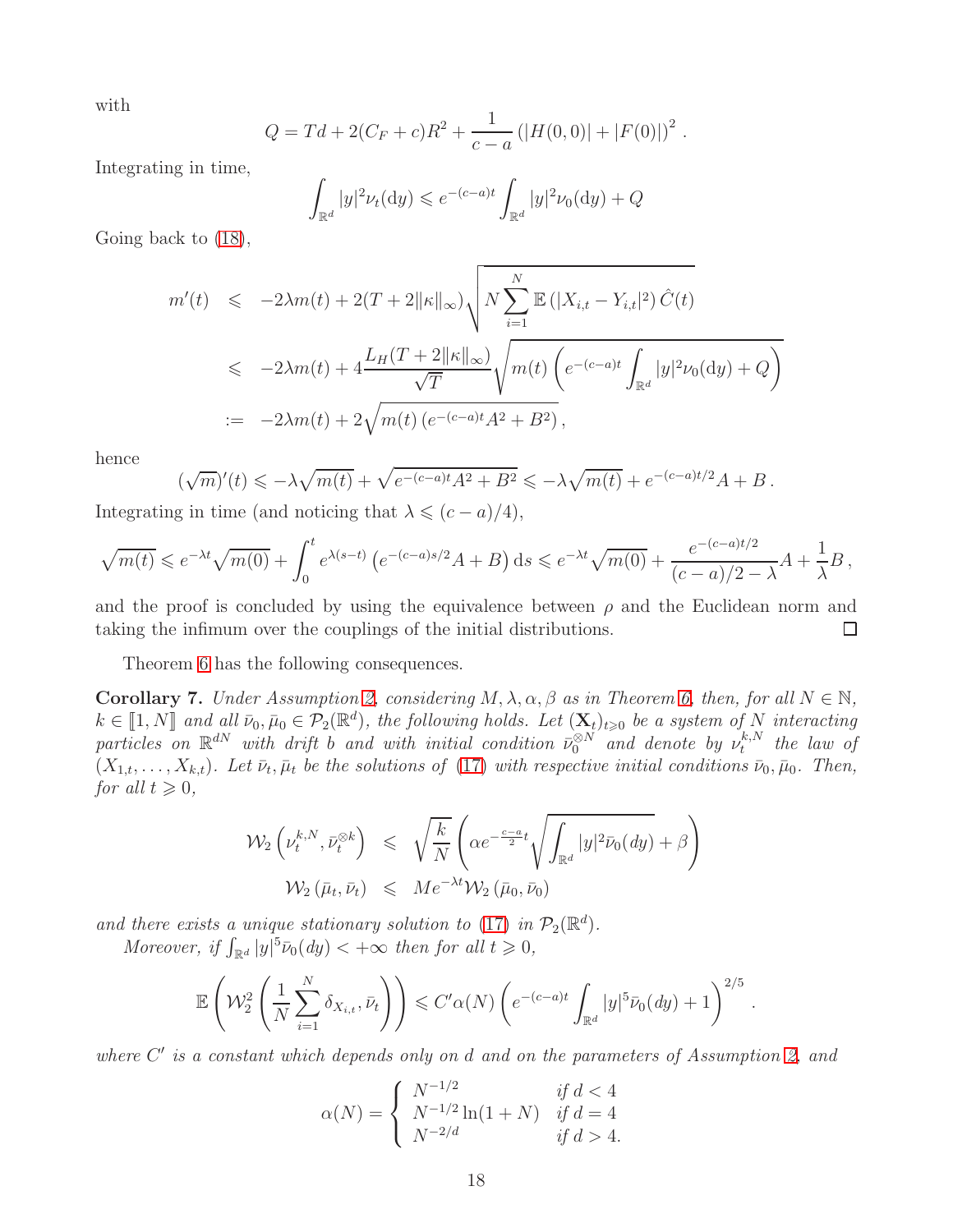with

$$
Q = Td + 2(C_F + c)R^2 + \frac{1}{c-a} (|H(0,0)| + |F(0)|)^2.
$$

Integrating in time,

$$
\int_{\mathbb{R}^d} |y|^2 \nu_t(\mathrm{d}y) \leqslant e^{-(c-a)t} \int_{\mathbb{R}^d} |y|^2 \nu_0(\mathrm{d}y) + Q
$$

Going back to [\(18\)](#page-16-0),

$$
m'(t) \leq -2\lambda m(t) + 2(T + 2||\kappa||_{\infty}) \sqrt{N \sum_{i=1}^{N} \mathbb{E}(|X_{i,t} - Y_{i,t}|^2) \hat{C}(t)}
$$
  

$$
\leq -2\lambda m(t) + 4\frac{L_H(T + 2||\kappa||_{\infty})}{\sqrt{T}} \sqrt{m(t) \left(e^{-(c-a)t} \int_{\mathbb{R}^d} |y|^2 \nu_0(\mathrm{d}y) + Q\right)}
$$
  

$$
:= -2\lambda m(t) + 2\sqrt{m(t) \left(e^{-(c-a)t} A^2 + B^2\right)},
$$

hence

$$
(\sqrt{m})'(t) \leqslant -\lambda \sqrt{m(t)} + \sqrt{e^{-(c-a)t}A^2 + B^2} \leqslant -\lambda \sqrt{m(t)} + e^{-(c-a)t/2}A + B.
$$

Integrating in time (and noticing that  $\lambda \leqslant (c - a)/4$ ),

$$
\sqrt{m(t)} \leqslant e^{-\lambda t} \sqrt{m(0)} + \int_0^t e^{\lambda(s-t)} \left( e^{-(c-a)s/2} A + B \right) ds \leqslant e^{-\lambda t} \sqrt{m(0)} + \frac{e^{-(c-a)t/2}}{(c-a)/2 - \lambda} A + \frac{1}{\lambda} B,
$$

and the proof is concluded by using the equivalence between  $\rho$  and the Euclidean norm and taking the infimum over the couplings of the initial distributions.  $\Box$ 

Theorem [6](#page-15-0) has the following consequences.

**Corollary 7.** Under Assumption [2,](#page-15-4) considering  $M, \lambda, \alpha, \beta$  as in Theorem [6,](#page-15-0) then, for all  $N \in \mathbb{N}$ ,  $k \in \llbracket 1, N \rrbracket$  and all  $\bar{\nu}_0, \bar{\mu}_0 \in \mathcal{P}_2(\mathbb{R}^d)$ , the following holds. Let  $(\mathbf{X}_t)_{t \geq 0}$  be a system of N interacting particles on  $\mathbb{R}^{dN}$  with drift b and with initial condition  $\bar{\nu}_0^{\otimes N}$  and denote by  $\nu_t^{k,N}$  $t^{k,N}$  the law of  $(X_{1,t},\ldots,X_{k,t})$ . Let  $\bar{\nu}_t, \bar{\mu}_t$  be the solutions of [\(17\)](#page-15-3) with respective initial conditions  $\bar{\nu}_0, \bar{\mu}_0$ . Then, for all  $t \geqslant 0$ ,

$$
\mathcal{W}_2\left(\nu_t^{k,N}, \bar{\nu}_t^{\otimes k}\right) \leq \sqrt{\frac{k}{N}} \left(\alpha e^{-\frac{c-a}{2}t} \sqrt{\int_{\mathbb{R}^d} |y|^2 \bar{\nu}_0(dy)} + \beta\right)
$$
  

$$
\mathcal{W}_2\left(\bar{\mu}_t, \bar{\nu}_t\right) \leq M e^{-\lambda t} \mathcal{W}_2\left(\bar{\mu}_0, \bar{\nu}_0\right)
$$

and there exists a unique stationary solution to [\(17\)](#page-15-3) in  $\mathcal{P}_2(\mathbb{R}^d)$ .

Moreover, if  $\int_{\mathbb{R}^d} |y|^5 \bar{\nu}_0(dy) < +\infty$  then for all  $t \geq 0$ ,

$$
\mathbb{E}\left(\mathcal{W}_2^2\left(\frac{1}{N}\sum_{i=1}^N \delta_{X_{i,t}}, \bar{\nu}_t\right)\right) \leqslant C'\alpha(N)\left(e^{-(c-a)t}\int_{\mathbb{R}^d} |y|^{5}\bar{\nu}_0(dy)+1\right)^{2/5}.
$$

where C' is a constant which depends only on d and on the parameters of Assumption [2,](#page-15-4) and

$$
\alpha(N) = \begin{cases} N^{-1/2} & \text{if } d < 4\\ N^{-1/2} \ln(1+N) & \text{if } d = 4\\ N^{-2/d} & \text{if } d > 4. \end{cases}
$$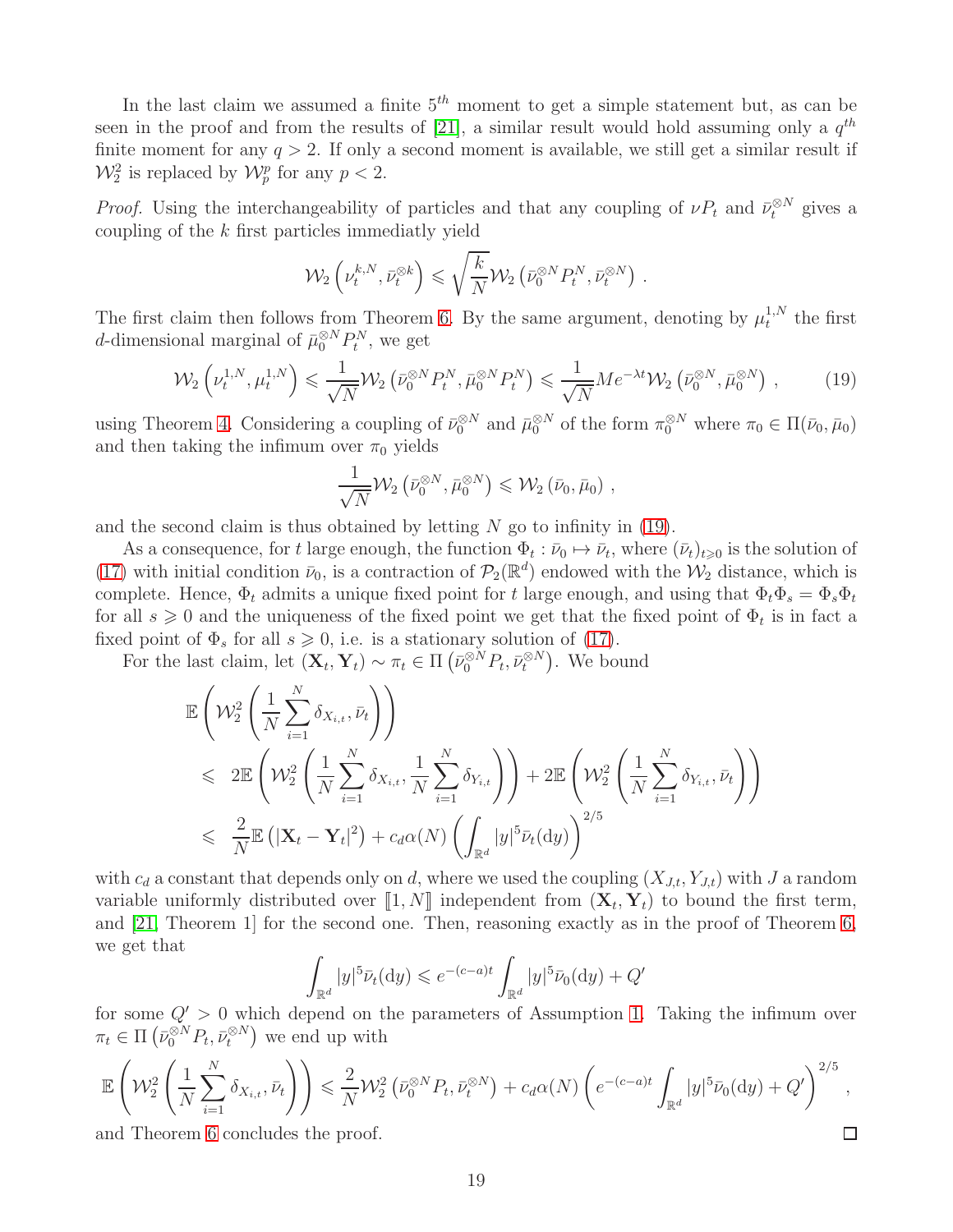In the last claim we assumed a finite  $5<sup>th</sup>$  moment to get a simple statement but, as can be seen in the proof and from the results of [\[21\]](#page-23-10), a similar result would hold assuming only a  $q^{th}$ finite moment for any  $q > 2$ . If only a second moment is available, we still get a similar result if  $\mathcal{W}_2^2$  is replaced by  $\mathcal{W}_p^p$  for any  $p < 2$ .

*Proof.* Using the interchangeability of particles and that any coupling of  $\nu P_t$  and  $\bar{\nu}_t^{\otimes N}$  gives a coupling of the  $k$  first particles immediatly yield

$$
\mathcal{W}_2\left(\nu_t^{k,N}, \bar{\nu}_t^{\otimes k}\right) \leqslant \sqrt{\frac{k}{N}} \mathcal{W}_2\left(\bar{\nu}_0^{\otimes N} P_t^N, \bar{\nu}_t^{\otimes N}\right)
$$

The first claim then follows from Theorem [6.](#page-15-0) By the same argument, denoting by  $\mu_t^{1,N}$  $t^{1,N}$  the first d-dimensional marginal of  $\bar{\mu}_0^{\otimes N} P_t^N$ , we get

<span id="page-18-0"></span>
$$
\mathcal{W}_2\left(\nu_t^{1,N}, \mu_t^{1,N}\right) \leq \frac{1}{\sqrt{N}} \mathcal{W}_2\left(\bar{\nu}_0^{\otimes N} P_t^N, \bar{\mu}_0^{\otimes N} P_t^N\right) \leq \frac{1}{\sqrt{N}} M e^{-\lambda t} \mathcal{W}_2\left(\bar{\nu}_0^{\otimes N}, \bar{\mu}_0^{\otimes N}\right),\tag{19}
$$

.

using Theorem [4.](#page-13-0) Considering a coupling of  $\bar{\nu}_0^{\otimes N}$  and  $\bar{\mu}_0^{\otimes N}$  of the form  $\pi_0^{\otimes N}$  where  $\pi_0 \in \Pi(\bar{\nu}_0, \bar{\mu}_0)$ and then taking the infimum over  $\pi_0$  yields

$$
\frac{1}{\sqrt{N}}\mathcal{W}_2\left(\bar{\nu}_0^{\otimes N}, \bar{\mu}_0^{\otimes N}\right) \leqslant \mathcal{W}_2\left(\bar{\nu}_0, \bar{\mu}_0\right),
$$

and the second claim is thus obtained by letting  $N$  go to infinity in [\(19\)](#page-18-0).

As a consequence, for t large enough, the function  $\Phi_t : \bar{\nu}_0 \mapsto \bar{\nu}_t$ , where  $(\bar{\nu}_t)_{t \geq 0}$  is the solution of [\(17\)](#page-15-3) with initial condition  $\bar{\nu}_0$ , is a contraction of  $\mathcal{P}_2(\mathbb{R}^d)$  endowed with the  $\mathcal{W}_2$  distance, which is complete. Hence,  $\Phi_t$  admits a unique fixed point for t large enough, and using that  $\Phi_t \Phi_s = \Phi_s \Phi_t$ for all  $s \geq 0$  and the uniqueness of the fixed point we get that the fixed point of  $\Phi_t$  is in fact a fixed point of  $\Phi_s$  for all  $s \geq 0$ , i.e. is a stationary solution of [\(17\)](#page-15-3).

For the last claim, let  $(\mathbf{X}_t, \mathbf{Y}_t) \sim \pi_t \in \Pi \left( \bar{\nu}_0^{\otimes N} P_t, \bar{\nu}_t^{\otimes N} \right)$ . We bound

$$
\mathbb{E}\left(\mathcal{W}_{2}^{2}\left(\frac{1}{N}\sum_{i=1}^{N}\delta_{X_{i,t}}, \bar{\nu}_{t}\right)\right) \n\leqslant 2\mathbb{E}\left(\mathcal{W}_{2}^{2}\left(\frac{1}{N}\sum_{i=1}^{N}\delta_{X_{i,t}}, \frac{1}{N}\sum_{i=1}^{N}\delta_{Y_{i,t}}\right)\right) + 2\mathbb{E}\left(\mathcal{W}_{2}^{2}\left(\frac{1}{N}\sum_{i=1}^{N}\delta_{Y_{i,t}}, \bar{\nu}_{t}\right)\right) \n\leqslant \frac{2}{N}\mathbb{E}\left(|\mathbf{X}_{t} - \mathbf{Y}_{t}|^{2}\right) + c_{d}\alpha(N)\left(\int_{\mathbb{R}^{d}}|y|^{5}\bar{\nu}_{t}(\mathrm{d}y)\right)^{2/5}
$$

with  $c_d$  a constant that depends only on d, where we used the coupling  $(X_{J,t}, Y_{J,t})$  with J a random variable uniformly distributed over  $\llbracket 1, N \rrbracket$  independent from  $(\mathbf{X}_t, \mathbf{Y}_t)$  to bound the first term, and [\[21,](#page-23-10) Theorem 1] for the second one. Then, reasoning exactly as in the proof of Theorem [6,](#page-15-0) we get that

$$
\int_{\mathbb{R}^d} |y|^5 \bar{\nu}_t(\mathrm{d}y) \leqslant e^{-(c-a)t} \int_{\mathbb{R}^d} |y|^5 \bar{\nu}_0(\mathrm{d}y) + Q'
$$

for some  $Q' > 0$  which depend on the parameters of Assumption [1.](#page-0-0) Taking the infimum over  $\pi_t \in \Pi\left(\bar{\nu}_0^{\otimes N} P_t, \bar{\nu}_t^{\otimes N}\right)$  we end up with

$$
\mathbb{E}\left(\mathcal{W}_{2}^{2}\left(\frac{1}{N}\sum_{i=1}^{N}\delta_{X_{i,t}},\bar{\nu}_{t}\right)\right) \leq \frac{2}{N}\mathcal{W}_{2}^{2}\left(\bar{\nu}_{0}^{\otimes N}P_{t},\bar{\nu}_{t}^{\otimes N}\right) + c_{d}\alpha(N)\left(e^{-(c-a)t}\int_{\mathbb{R}^{d}}|y|^{5}\bar{\nu}_{0}(\mathrm{d}y)+Q'\right)^{2/5},
$$
  
and Theorem 6 concludes the proof.

and Theorem [6](#page-15-0) concludes the proof.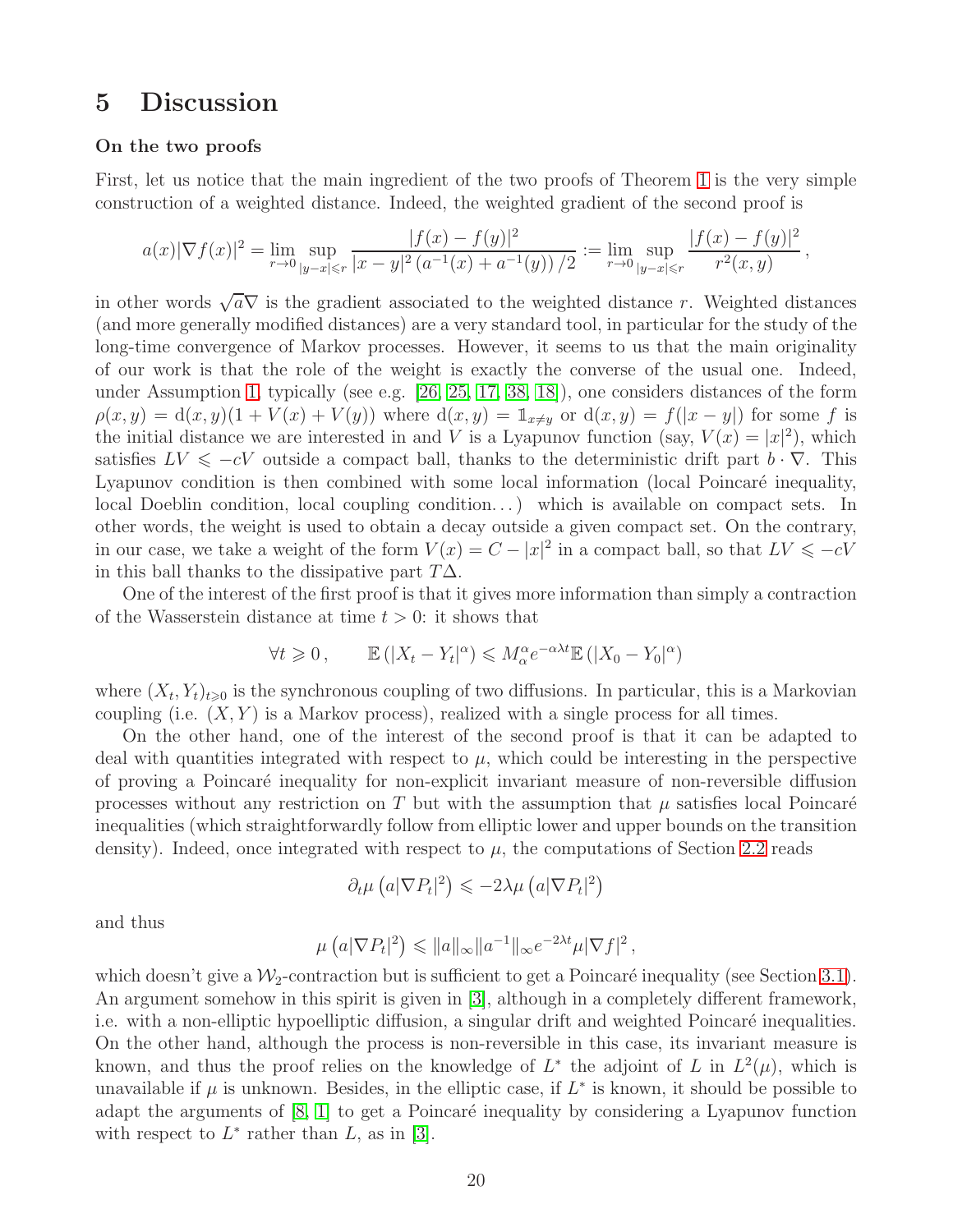# <span id="page-19-0"></span>5 Discussion

### On the two proofs

First, let us notice that the main ingredient of the two proofs of Theorem [1](#page-2-1) is the very simple construction of a weighted distance. Indeed, the weighted gradient of the second proof is

$$
a(x)|\nabla f(x)|^2 = \lim_{r \to 0} \sup_{|y-x| \le r} \frac{|f(x) - f(y)|^2}{|x-y|^2 (a^{-1}(x) + a^{-1}(y))/2} := \lim_{r \to 0} \sup_{|y-x| \le r} \frac{|f(x) - f(y)|^2}{r^2(x,y)},
$$

in other words  $\sqrt{a}\nabla$  is the gradient associated to the weighted distance r. Weighted distances (and more generally modified distances) are a very standard tool, in particular for the study of the long-time convergence of Markov processes. However, it seems to us that the main originality of our work is that the role of the weight is exactly the converse of the usual one. Indeed, under Assumption [1,](#page-0-0) typically (see e.g. [\[26,](#page-24-0) [25,](#page-23-11) [17,](#page-23-12) [38,](#page-24-11) [18\]](#page-23-13)), one considers distances of the form  $\rho(x, y) = d(x, y)(1 + V(x) + V(y))$  where  $d(x, y) = \mathbb{1}_{x \neq y}$  or  $d(x, y) = f(|x - y|)$  for some f is the initial distance we are interested in and V is a Lyapunov function (say,  $V(x) = |x|^2$ ), which satisfies  $LV \leq -cV$  outside a compact ball, thanks to the deterministic drift part  $b \cdot \nabla$ . This Lyapunov condition is then combined with some local information (local Poincaré inequality, local Doeblin condition, local coupling condition...) which is available on compact sets. In other words, the weight is used to obtain a decay outside a given compact set. On the contrary, in our case, we take a weight of the form  $V(x) = C - |x|^2$  in a compact ball, so that  $LV \leq -cV$ in this ball thanks to the dissipative part  $T\Delta$ .

One of the interest of the first proof is that it gives more information than simply a contraction of the Wasserstein distance at time  $t > 0$ : it shows that

$$
\forall t \geq 0, \qquad \mathbb{E}\left(\left|X_t - Y_t\right|^{\alpha}\right) \leqslant M_{\alpha}^{\alpha} e^{-\alpha \lambda t} \mathbb{E}\left(\left|X_0 - Y_0\right|^{\alpha}\right)
$$

where  $(X_t, Y_t)_{t\geqslant0}$  is the synchronous coupling of two diffusions. In particular, this is a Markovian coupling (i.e.  $(X, Y)$  is a Markov process), realized with a single process for all times.

On the other hand, one of the interest of the second proof is that it can be adapted to deal with quantities integrated with respect to  $\mu$ , which could be interesting in the perspective of proving a Poincar´e inequality for non-explicit invariant measure of non-reversible diffusion processes without any restriction on T but with the assumption that  $\mu$  satisfies local Poincaré inequalities (which straightforwardly follow from elliptic lower and upper bounds on the transition density). Indeed, once integrated with respect to  $\mu$ , the computations of Section [2.2](#page-7-2) reads

$$
\partial_t \mu \left( a |\nabla P_t|^2 \right) \leq -2\lambda \mu \left( a |\nabla P_t|^2 \right)
$$

and thus

$$
\mu\left(a|\nabla P_t|^2\right) \leqslant \|a\|_{\infty} \|a^{-1}\|_{\infty} e^{-2\lambda t} \mu |\nabla f|^2
$$

,

which doesn't give a  $\mathcal{W}_2$ -contraction but is sufficient to get a Poincaré inequality (see Section [3.1\)](#page-9-0). An argument somehow in this spirit is given in [\[3\]](#page-22-8), although in a completely different framework, i.e. with a non-elliptic hypoelliptic diffusion, a singular drift and weighted Poincaré inequalities. On the other hand, although the process is non-reversible in this case, its invariant measure is known, and thus the proof relies on the knowledge of  $L^*$  the adjoint of L in  $L^2(\mu)$ , which is unavailable if  $\mu$  is unknown. Besides, in the elliptic case, if  $L^*$  is known, it should be possible to adapt the arguments of  $[8, 1]$  $[8, 1]$  to get a Poincaré inequality by considering a Lyapunov function with respect to  $L^*$  rather than  $L$ , as in [\[3\]](#page-22-8).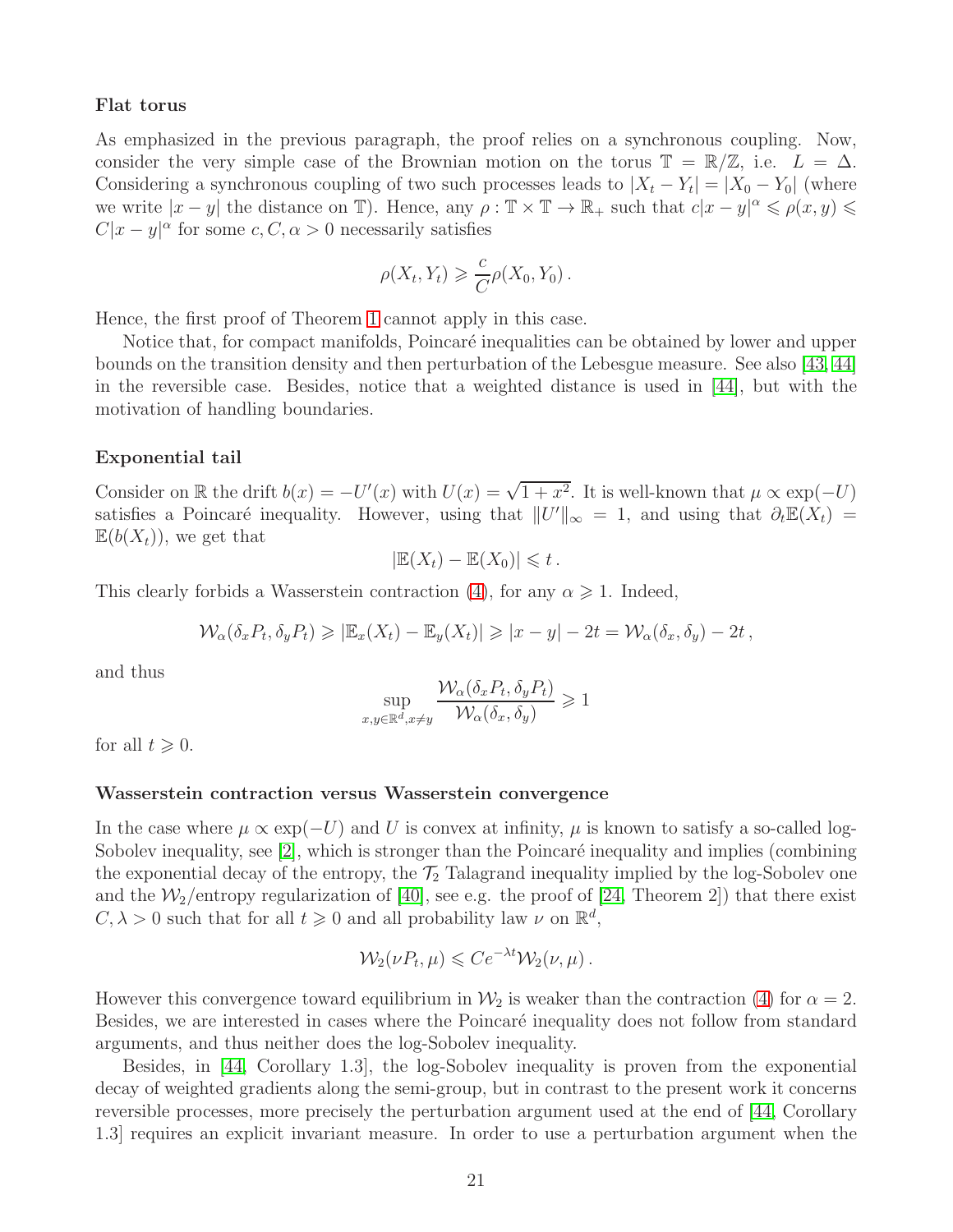#### Flat torus

As emphasized in the previous paragraph, the proof relies on a synchronous coupling. Now, consider the very simple case of the Brownian motion on the torus  $\mathbb{T} = \mathbb{R}/\mathbb{Z}$ , i.e.  $L = \Delta$ . Considering a synchronous coupling of two such processes leads to  $|X_t - Y_t| = |X_0 - Y_0|$  (where we write  $|x - y|$  the distance on T). Hence, any  $\rho : \mathbb{T} \times \mathbb{T} \to \mathbb{R}_+$  such that  $c|x - y|^{\alpha} \leqslant \rho(x, y) \leqslant$  $C|x-y|^{\alpha}$  for some  $c, C, \alpha > 0$  necessarily satisfies

$$
\rho(X_t, Y_t) \geqslant \frac{c}{C} \rho(X_0, Y_0).
$$

Hence, the first proof of Theorem [1](#page-2-1) cannot apply in this case.

Notice that, for compact manifolds, Poincaré inequalities can be obtained by lower and upper bounds on the transition density and then perturbation of the Lebesgue measure. See also [\[43,](#page-25-5) [44\]](#page-25-6) in the reversible case. Besides, notice that a weighted distance is used in [\[44\]](#page-25-6), but with the motivation of handling boundaries.

#### Exponential tail

Consider on R the drift  $b(x) = -U'(x)$  with  $U(x) = \sqrt{1+x^2}$ . It is well-known that  $\mu \propto \exp(-U)$ satisfies a Poincaré inequality. However, using that  $||U'||_{\infty} = 1$ , and using that  $\partial_t \mathbb{E}(X_t) =$  $\mathbb{E}(b(X_t))$ , we get that

$$
|\mathbb{E}(X_t) - \mathbb{E}(X_0)| \leq t.
$$

This clearly forbids a Wasserstein contraction [\(4\)](#page-1-0), for any  $\alpha \geq 1$ . Indeed,

$$
\mathcal{W}_{\alpha}(\delta_x P_t, \delta_y P_t) \geqslant |\mathbb{E}_x(X_t) - \mathbb{E}_y(X_t)| \geqslant |x - y| - 2t = \mathcal{W}_{\alpha}(\delta_x, \delta_y) - 2t,
$$

and thus

$$
\sup_{x,y\in\mathbb{R}^d,x\neq y} \frac{\mathcal{W}_{\alpha}(\delta_x P_t, \delta_y P_t)}{\mathcal{W}_{\alpha}(\delta_x, \delta_y)} \geq 1
$$

for all  $t \geqslant 0$ .

### Wasserstein contraction versus Wasserstein convergence

In the case where  $\mu \propto \exp(-U)$  and U is convex at infinity,  $\mu$  is known to satisfy a so-called log-Sobolev inequality, see  $[2]$ , which is stronger than the Poincaré inequality and implies (combining the exponential decay of the entropy, the  $\mathcal{T}_2$  Talagrand inequality implied by the log-Sobolev one and the  $\mathcal{W}_2$ /entropy regularization of [\[40\]](#page-24-9), see e.g. the proof of [\[24,](#page-23-14) Theorem 2]) that there exist  $C, \lambda > 0$  such that for all  $t \geq 0$  and all probability law  $\nu$  on  $\mathbb{R}^d$ ,

$$
\mathcal{W}_2(\nu P_t, \mu) \leqslant C e^{-\lambda t} \mathcal{W}_2(\nu, \mu).
$$

However this convergence toward equilibrium in  $\mathcal{W}_2$  is weaker than the contraction [\(4\)](#page-1-0) for  $\alpha = 2$ . Besides, we are interested in cases where the Poincaré inequality does not follow from standard arguments, and thus neither does the log-Sobolev inequality.

Besides, in [\[44,](#page-25-6) Corollary 1.3], the log-Sobolev inequality is proven from the exponential decay of weighted gradients along the semi-group, but in contrast to the present work it concerns reversible processes, more precisely the perturbation argument used at the end of [\[44,](#page-25-6) Corollary 1.3] requires an explicit invariant measure. In order to use a perturbation argument when the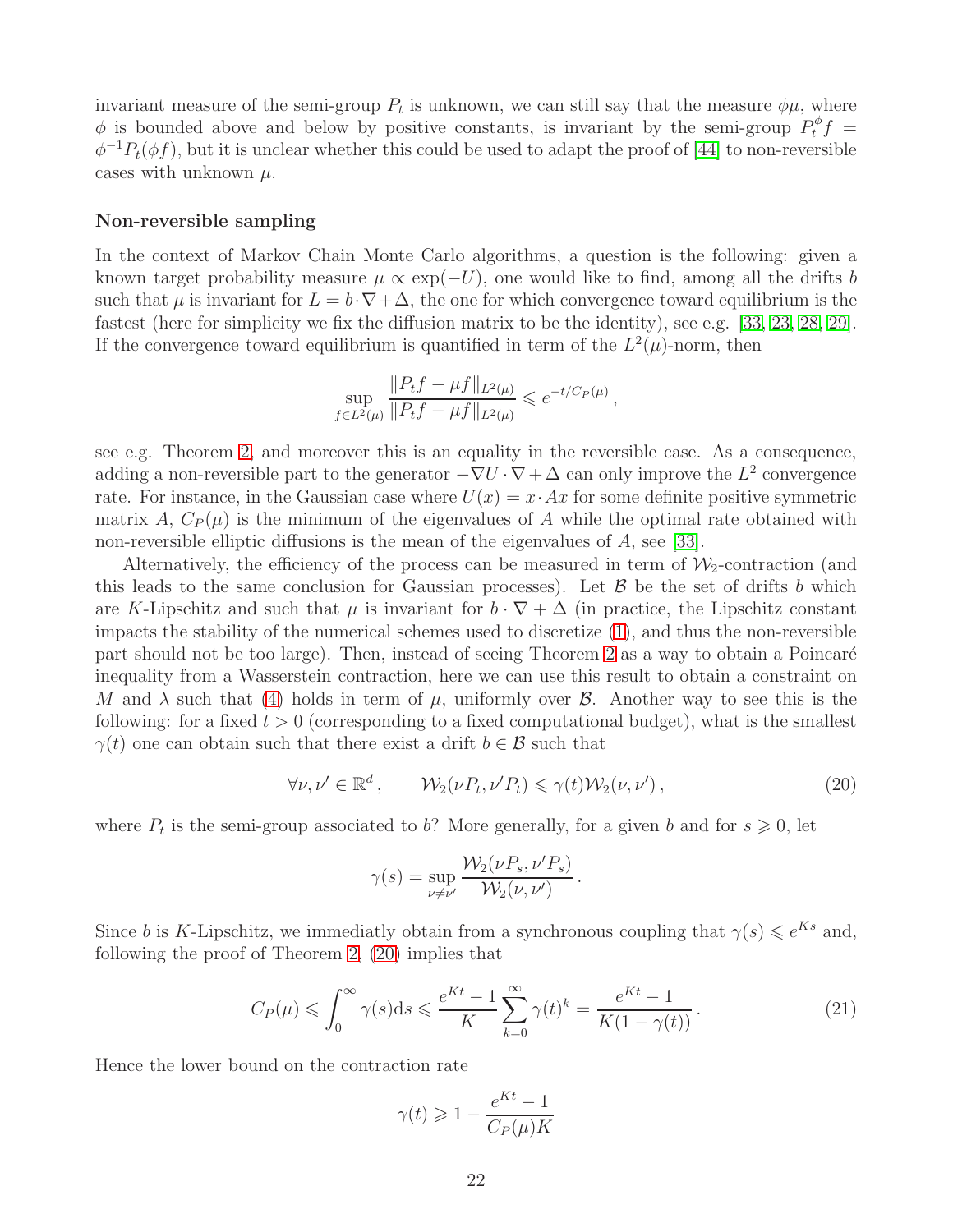invariant measure of the semi-group  $P_t$  is unknown, we can still say that the measure  $\phi\mu$ , where  $\phi$  is bounded above and below by positive constants, is invariant by the semi-group  $P_t^{\phi} f =$  $\phi^{-1}P_t(\phi f)$ , but it is unclear whether this could be used to adapt the proof of [\[44\]](#page-25-6) to non-reversible cases with unknown  $\mu$ .

#### Non-reversible sampling

In the context of Markov Chain Monte Carlo algorithms, a question is the following: given a known target probability measure  $\mu \propto \exp(-U)$ , one would like to find, among all the drifts b such that  $\mu$  is invariant for  $L = b \cdot \nabla + \Delta$ , the one for which convergence toward equilibrium is the fastest (here for simplicity we fix the diffusion matrix to be the identity), see e.g. [\[33,](#page-24-12) [23,](#page-23-15) [28,](#page-24-13) [29\]](#page-24-14). If the convergence toward equilibrium is quantified in term of the  $L^2(\mu)$ -norm, then

$$
\sup_{f \in L^2(\mu)} \frac{\|P_t f - \mu f\|_{L^2(\mu)}}{\|P_t f - \mu f\|_{L^2(\mu)}} \leqslant e^{-t/C_P(\mu)},
$$

see e.g. Theorem [2,](#page-2-2) and moreover this is an equality in the reversible case. As a consequence, adding a non-reversible part to the generator  $-\nabla U \cdot \nabla + \Delta$  can only improve the  $L^2$  convergence rate. For instance, in the Gaussian case where  $U(x) = x \cdot Ax$  for some definite positive symmetric matrix A,  $C_P(\mu)$  is the minimum of the eigenvalues of A while the optimal rate obtained with non-reversible elliptic diffusions is the mean of the eigenvalues of A, see [\[33\]](#page-24-12).

Alternatively, the efficiency of the process can be measured in term of  $\mathcal{W}_2$ -contraction (and this leads to the same conclusion for Gaussian processes). Let  $\beta$  be the set of drifts b which are K-Lipschitz and such that  $\mu$  is invariant for  $b \cdot \nabla + \Delta$  (in practice, the Lipschitz constant impacts the stability of the numerical schemes used to discretize [\(1\)](#page-0-1), and thus the non-reversible part should not be too large). Then, instead of seeing Theorem [2](#page-2-2) as a way to obtain a Poincaré inequality from a Wasserstein contraction, here we can use this result to obtain a constraint on M and  $\lambda$  such that [\(4\)](#page-1-0) holds in term of  $\mu$ , uniformly over  $\beta$ . Another way to see this is the following: for a fixed  $t > 0$  (corresponding to a fixed computational budget), what is the smallest  $\gamma(t)$  one can obtain such that there exist a drift  $b \in \mathcal{B}$  such that

<span id="page-21-0"></span>
$$
\forall \nu, \nu' \in \mathbb{R}^d, \qquad \mathcal{W}_2(\nu P_t, \nu' P_t) \leq \gamma(t) \mathcal{W}_2(\nu, \nu'), \qquad (20)
$$

where  $P_t$  is the semi-group associated to b? More generally, for a given b and for  $s \geqslant 0$ , let

$$
\gamma(s) = \sup_{\nu \neq \nu'} \frac{\mathcal{W}_2(\nu P_s, \nu' P_s)}{\mathcal{W}_2(\nu, \nu')}.
$$

Since b is K-Lipschitz, we immediatly obtain from a synchronous coupling that  $\gamma(s) \leqslant e^{Ks}$  and, following the proof of Theorem [2,](#page-2-2) [\(20\)](#page-21-0) implies that

<span id="page-21-1"></span>
$$
C_P(\mu) \leqslant \int_0^\infty \gamma(s) \, \mathrm{d}s \leqslant \frac{e^{Kt} - 1}{K} \sum_{k=0}^\infty \gamma(t)^k = \frac{e^{Kt} - 1}{K(1 - \gamma(t))} \,. \tag{21}
$$

Hence the lower bound on the contraction rate

$$
\gamma(t) \geqslant 1 - \frac{e^{Kt} - 1}{C_P(\mu)K}
$$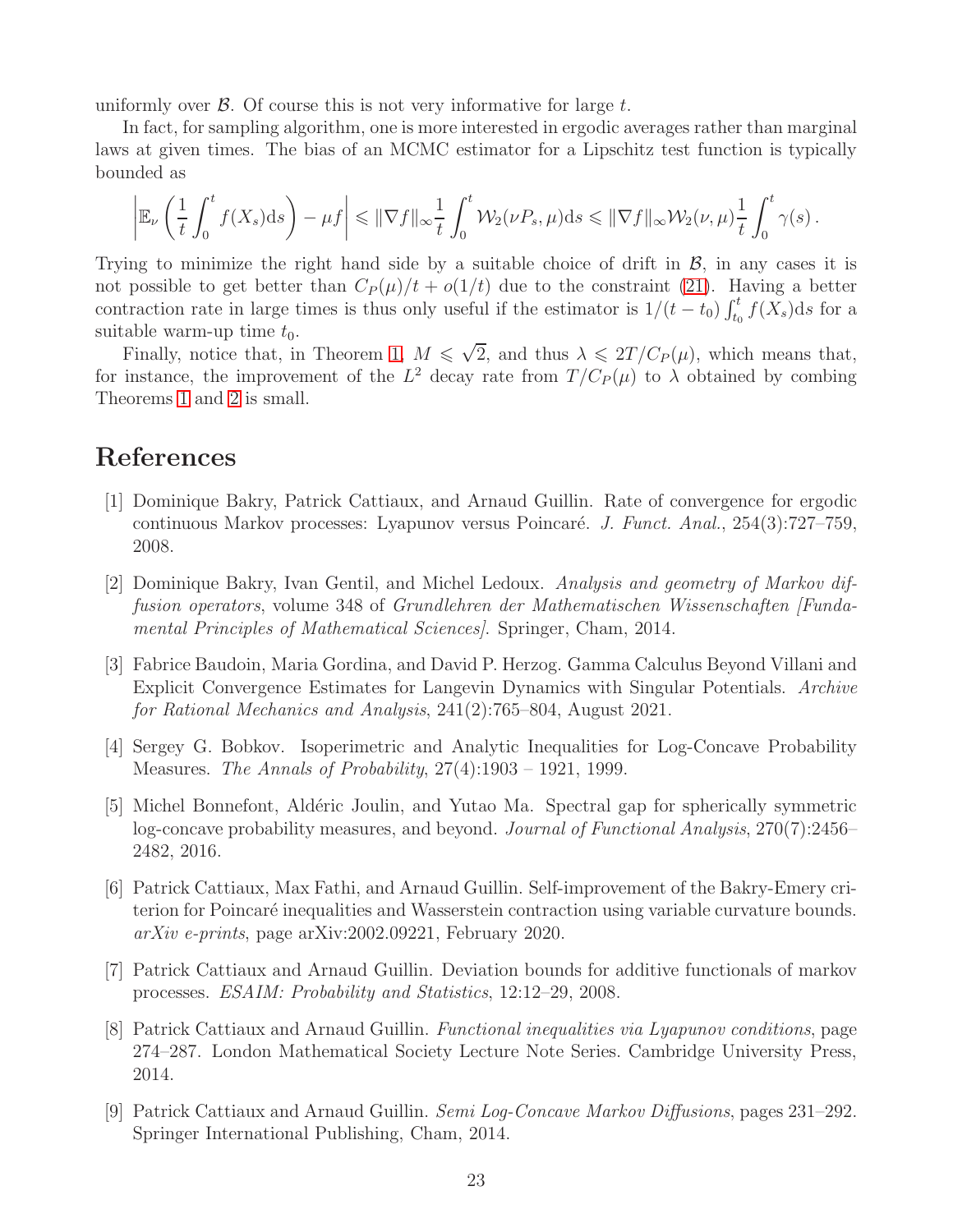uniformly over  $\beta$ . Of course this is not very informative for large t.

In fact, for sampling algorithm, one is more interested in ergodic averages rather than marginal laws at given times. The bias of an MCMC estimator for a Lipschitz test function is typically bounded as

$$
\left|\mathbb{E}_{\nu}\left(\frac{1}{t}\int_0^t f(X_s)ds\right)-\mu f\right|\leqslant \|\nabla f\|_{\infty}\frac{1}{t}\int_0^t \mathcal{W}_2(\nu P_s,\mu)ds\leqslant \|\nabla f\|_{\infty}\mathcal{W}_2(\nu,\mu)\frac{1}{t}\int_0^t \gamma(s)\,.
$$

Trying to minimize the right hand side by a suitable choice of drift in  $\mathcal{B}$ , in any cases it is not possible to get better than  $C_P(\mu)/t + o(1/t)$  due to the constraint [\(21\)](#page-21-1). Having a better contraction rate in large times is thus only useful if the estimator is  $1/(t-t_0)\int_{t_0}^t f(X_s)ds$  for a suitable warm-up time  $t_0$ .

Finally, notice that, in Theorem [1,](#page-2-1)  $M \leq \sqrt{2}$ , and thus  $\lambda \leq 2T/C_P(\mu)$ , which means that, for instance, the improvement of the  $L^2$  decay rate from  $T/C_P(\mu)$  to  $\lambda$  obtained by combing Theorems [1](#page-2-1) and [2](#page-2-2) is small.

# <span id="page-22-0"></span>References

- [1] Dominique Bakry, Patrick Cattiaux, and Arnaud Guillin. Rate of convergence for ergodic continuous Markov processes: Lyapunov versus Poincaré. J. Funct. Anal., 254(3):727–759, 2008.
- <span id="page-22-1"></span>[2] Dominique Bakry, Ivan Gentil, and Michel Ledoux. Analysis and geometry of Markov diffusion operators, volume 348 of Grundlehren der Mathematischen Wissenschaften [Fundamental Principles of Mathematical Sciences]. Springer, Cham, 2014.
- <span id="page-22-8"></span>[3] Fabrice Baudoin, Maria Gordina, and David P. Herzog. Gamma Calculus Beyond Villani and Explicit Convergence Estimates for Langevin Dynamics with Singular Potentials. Archive for Rational Mechanics and Analysis, 241(2):765–804, August 2021.
- <span id="page-22-6"></span>[4] Sergey G. Bobkov. Isoperimetric and Analytic Inequalities for Log-Concave Probability Measures. The Annals of Probability, 27(4):1903 – 1921, 1999.
- <span id="page-22-7"></span>[5] Michel Bonnefont, Ald´eric Joulin, and Yutao Ma. Spectral gap for spherically symmetric log-concave probability measures, and beyond. Journal of Functional Analysis, 270(7):2456– 2482, 2016.
- <span id="page-22-4"></span>[6] Patrick Cattiaux, Max Fathi, and Arnaud Guillin. Self-improvement of the Bakry-Emery criterion for Poincaré inequalities and Wasserstein contraction using variable curvature bounds. arXiv e-prints, page arXiv:2002.09221, February 2020.
- <span id="page-22-3"></span><span id="page-22-2"></span>[7] Patrick Cattiaux and Arnaud Guillin. Deviation bounds for additive functionals of markov processes. ESAIM: Probability and Statistics, 12:12–29, 2008.
- [8] Patrick Cattiaux and Arnaud Guillin. Functional inequalities via Lyapunov conditions, page 274–287. London Mathematical Society Lecture Note Series. Cambridge University Press, 2014.
- <span id="page-22-5"></span>[9] Patrick Cattiaux and Arnaud Guillin. Semi Log-Concave Markov Diffusions, pages 231–292. Springer International Publishing, Cham, 2014.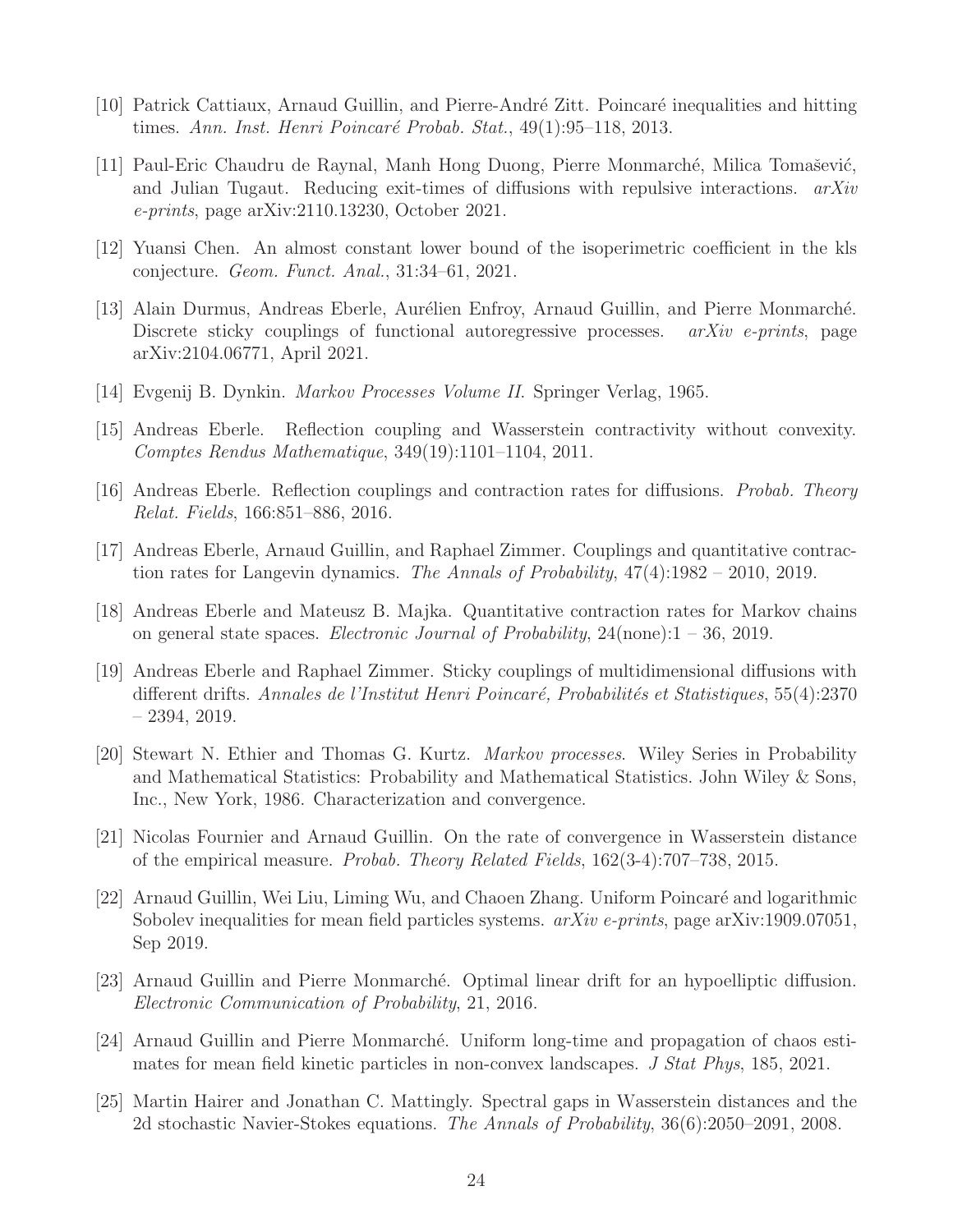- <span id="page-23-9"></span><span id="page-23-7"></span>[10] Patrick Cattiaux, Arnaud Guillin, and Pierre-André Zitt. Poincaré inequalities and hitting times. Ann. Inst. Henri Poincaré Probab. Stat.,  $49(1):95-118$ , 2013.
- [11] Paul-Eric Chaudru de Raynal, Manh Hong Duong, Pierre Monmarché, Milica Tomašević, and Julian Tugaut. Reducing exit-times of diffusions with repulsive interactions.  $arXiv$ e-prints, page arXiv:2110.13230, October 2021.
- <span id="page-23-5"></span><span id="page-23-3"></span>[12] Yuansi Chen. An almost constant lower bound of the isoperimetric coefficient in the kls conjecture. Geom. Funct. Anal., 31:34–61, 2021.
- [13] Alain Durmus, Andreas Eberle, Aurélien Enfroy, Arnaud Guillin, and Pierre Monmarché. Discrete sticky couplings of functional autoregressive processes.  $arXiv$  e-prints, page arXiv:2104.06771, April 2021.
- <span id="page-23-6"></span><span id="page-23-1"></span>[14] Evgenij B. Dynkin. Markov Processes Volume II. Springer Verlag, 1965.
- <span id="page-23-0"></span>[15] Andreas Eberle. Reflection coupling and Wasserstein contractivity without convexity. Comptes Rendus Mathematique, 349(19):1101–1104, 2011.
- <span id="page-23-12"></span>[16] Andreas Eberle. Reflection couplings and contraction rates for diffusions. Probab. Theory Relat. Fields, 166:851–886, 2016.
- <span id="page-23-13"></span>[17] Andreas Eberle, Arnaud Guillin, and Raphael Zimmer. Couplings and quantitative contraction rates for Langevin dynamics. The Annals of Probability, 47(4):1982 – 2010, 2019.
- <span id="page-23-4"></span>[18] Andreas Eberle and Mateusz B. Majka. Quantitative contraction rates for Markov chains on general state spaces. Electronic Journal of Probability, 24(none):1 – 36, 2019.
- [19] Andreas Eberle and Raphael Zimmer. Sticky couplings of multidimensional diffusions with different drifts. Annales de l'Institut Henri Poincaré, Probabilités et Statistiques, 55(4):2370 – 2394, 2019.
- <span id="page-23-2"></span>[20] Stewart N. Ethier and Thomas G. Kurtz. Markov processes. Wiley Series in Probability and Mathematical Statistics: Probability and Mathematical Statistics. John Wiley & Sons, Inc., New York, 1986. Characterization and convergence.
- <span id="page-23-10"></span>[21] Nicolas Fournier and Arnaud Guillin. On the rate of convergence in Wasserstein distance of the empirical measure. Probab. Theory Related Fields, 162(3-4):707–738, 2015.
- <span id="page-23-8"></span>[22] Arnaud Guillin, Wei Liu, Liming Wu, and Chaoen Zhang. Uniform Poincaré and logarithmic Sobolev inequalities for mean field particles systems.  $arXiv$  e-prints, page arXiv:1909.07051, Sep 2019.
- <span id="page-23-15"></span><span id="page-23-14"></span>[23] Arnaud Guillin and Pierre Monmarch´e. Optimal linear drift for an hypoelliptic diffusion. Electronic Communication of Probability, 21, 2016.
- [24] Arnaud Guillin and Pierre Monmarch´e. Uniform long-time and propagation of chaos estimates for mean field kinetic particles in non-convex landscapes. J Stat Phys, 185, 2021.
- <span id="page-23-11"></span>[25] Martin Hairer and Jonathan C. Mattingly. Spectral gaps in Wasserstein distances and the 2d stochastic Navier-Stokes equations. The Annals of Probability, 36(6):2050–2091, 2008.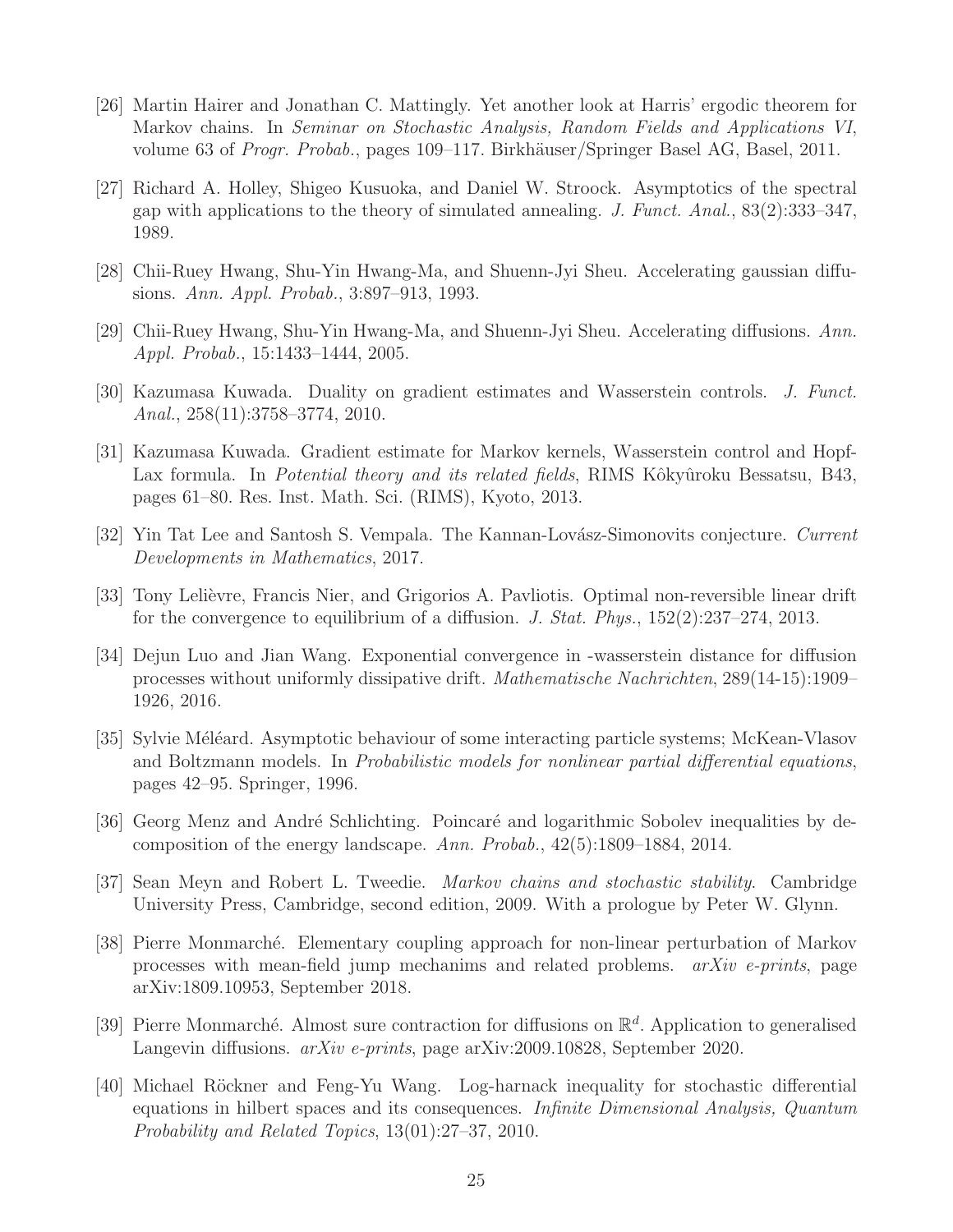- <span id="page-24-0"></span>[26] Martin Hairer and Jonathan C. Mattingly. Yet another look at Harris' ergodic theorem for Markov chains. In Seminar on Stochastic Analysis, Random Fields and Applications VI, volume 63 of *Progr. Probab.*, pages 109–117. Birkhäuser/Springer Basel AG, Basel, 2011.
- <span id="page-24-4"></span>[27] Richard A. Holley, Shigeo Kusuoka, and Daniel W. Stroock. Asymptotics of the spectral gap with applications to the theory of simulated annealing. J. Funct. Anal.,  $83(2):333-347$ , 1989.
- <span id="page-24-14"></span><span id="page-24-13"></span>[28] Chii-Ruey Hwang, Shu-Yin Hwang-Ma, and Shuenn-Jyi Sheu. Accelerating gaussian diffusions. Ann. Appl. Probab., 3:897–913, 1993.
- <span id="page-24-7"></span>[29] Chii-Ruey Hwang, Shu-Yin Hwang-Ma, and Shuenn-Jyi Sheu. Accelerating diffusions. Ann. Appl. Probab., 15:1433–1444, 2005.
- <span id="page-24-8"></span>[30] Kazumasa Kuwada. Duality on gradient estimates and Wasserstein controls. J. Funct. Anal., 258(11):3758–3774, 2010.
- [31] Kazumasa Kuwada. Gradient estimate for Markov kernels, Wasserstein control and Hopf-Lax formula. In *Potential theory and its related fields*, RIMS Kôkyûroku Bessatsu, B43, pages 61–80. Res. Inst. Math. Sci. (RIMS), Kyoto, 2013.
- <span id="page-24-12"></span><span id="page-24-6"></span>[32] Yin Tat Lee and Santosh S. Vempala. The Kannan-Lovász-Simonovits conjecture. Current Developments in Mathematics, 2017.
- [33] Tony Lelièvre, Francis Nier, and Grigorios A. Pavliotis. Optimal non-reversible linear drift for the convergence to equilibrium of a diffusion. J. Stat. Phys., 152(2):237–274, 2013.
- <span id="page-24-3"></span>[34] Dejun Luo and Jian Wang. Exponential convergence in -wasserstein distance for diffusion processes without uniformly dissipative drift. Mathematische Nachrichten, 289(14-15):1909– 1926, 2016.
- <span id="page-24-10"></span>[35] Sylvie Méléard. Asymptotic behaviour of some interacting particle systems; McKean-Vlasov and Boltzmann models. In Probabilistic models for nonlinear partial differential equations, pages 42–95. Springer, 1996.
- <span id="page-24-5"></span>[36] Georg Menz and André Schlichting. Poincaré and logarithmic Sobolev inequalities by decomposition of the energy landscape. Ann. Probab., 42(5):1809–1884, 2014.
- <span id="page-24-11"></span><span id="page-24-1"></span>[37] Sean Meyn and Robert L. Tweedie. Markov chains and stochastic stability. Cambridge University Press, Cambridge, second edition, 2009. With a prologue by Peter W. Glynn.
- [38] Pierre Monmarch´e. Elementary coupling approach for non-linear perturbation of Markov processes with mean-field jump mechanims and related problems. arXiv e-prints, page arXiv:1809.10953, September 2018.
- <span id="page-24-2"></span>[39] Pierre Monmarché. Almost sure contraction for diffusions on  $\mathbb{R}^d$ . Application to generalised Langevin diffusions.  $arXiv$  e-prints, page arXiv:2009.10828, September 2020.
- <span id="page-24-9"></span>[40] Michael R¨ockner and Feng-Yu Wang. Log-harnack inequality for stochastic differential equations in hilbert spaces and its consequences. Infinite Dimensional Analysis, Quantum Probability and Related Topics, 13(01):27–37, 2010.